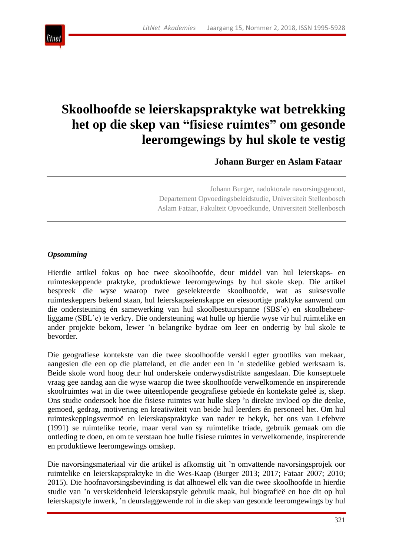

# **Skoolhoofde se leierskapspraktyke wat betrekking het op die skep van "fisiese ruimtes" om gesonde leeromgewings by hul skole te vestig**

**Johann Burger en Aslam Fataar**

Johann Burger, nadoktorale navorsingsgenoot, Departement Opvoedingsbeleidstudie, Universiteit Stellenbosch Aslam Fataar, Fakulteit Opvoedkunde, Universiteit Stellenbosch

### *Opsomming*

Hierdie artikel fokus op hoe twee skoolhoofde, deur middel van hul leierskaps- en ruimteskeppende praktyke, produktiewe leeromgewings by hul skole skep. Die artikel bespreek die wyse waarop twee geselekteerde skoolhoofde, wat as suksesvolle ruimteskeppers bekend staan, hul leierskapseienskappe en eiesoortige praktyke aanwend om die ondersteuning én samewerking van hul skoolbestuurspanne (SBS'e) en skoolbeheerliggame (SBL'e) te verkry. Die ondersteuning wat hulle op hierdie wyse vir hul ruimtelike en ander projekte bekom, lewer 'n belangrike bydrae om leer en onderrig by hul skole te bevorder.

Die geografiese kontekste van die twee skoolhoofde verskil egter grootliks van mekaar, aangesien die een op die platteland, en die ander een in 'n stedelike gebied werksaam is. Beide skole word hoog deur hul onderskeie onderwysdistrikte aangeslaan. Die konseptuele vraag gee aandag aan die wyse waarop die twee skoolhoofde verwelkomende en inspirerende skoolruimtes wat in die twee uiteenlopende geografiese gebiede én kontekste geleë is, skep. Ons studie ondersoek hoe die fisiese ruimtes wat hulle skep 'n direkte invloed op die denke, gemoed, gedrag, motivering en kreatiwiteit van beide hul leerders én personeel het. Om hul ruimteskeppingsvermoë en leierskapspraktyke van nader te bekyk, het ons van Lefebvre (1991) se ruimtelike teorie, maar veral van sy ruimtelike triade, gebruik gemaak om die ontleding te doen, en om te verstaan hoe hulle fisiese ruimtes in verwelkomende, inspirerende en produktiewe leeromgewings omskep.

Die navorsingsmateriaal vir die artikel is afkomstig uit 'n omvattende navorsingsprojek oor ruimtelike en leierskapspraktyke in die Wes-Kaap (Burger 2013; 2017; Fataar 2007; 2010; 2015). Die hoofnavorsingsbevinding is dat alhoewel elk van die twee skoolhoofde in hierdie studie van 'n verskeidenheid leierskapstyle gebruik maak, hul biografieë en hoe dit op hul leierskapstyle inwerk, 'n deurslaggewende rol in die skep van gesonde leeromgewings by hul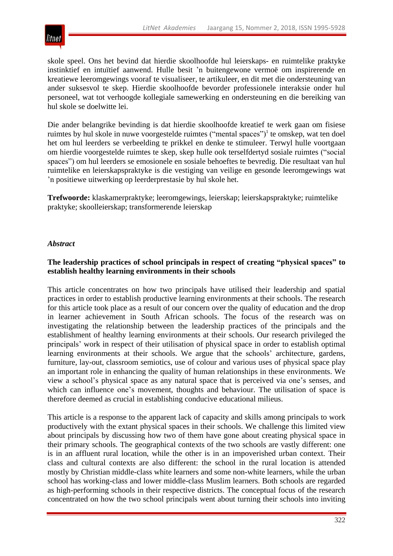skole speel. Ons het bevind dat hierdie skoolhoofde hul leierskaps- en ruimtelike praktyke instinktief en intuïtief aanwend. Hulle besit 'n buitengewone vermoë om inspirerende en kreatiewe leeromgewings vooraf te visualiseer, te artikuleer, en dit met die ondersteuning van ander suksesvol te skep. Hierdie skoolhoofde bevorder professionele interaksie onder hul personeel, wat tot verhoogde kollegiale samewerking en ondersteuning en die bereiking van hul skole se doelwitte lei.

Die ander belangrike bevinding is dat hierdie skoolhoofde kreatief te werk gaan om fisiese ruimtes by hul skole in nuwe voorgestelde ruimtes ("mental spaces")<sup>1</sup> te omskep, wat ten doel het om hul leerders se verbeelding te prikkel en denke te stimuleer. Terwyl hulle voortgaan om hierdie voorgestelde ruimtes te skep, skep hulle ook terselfdertyd sosiale ruimtes ("social spaces‖) om hul leerders se emosionele en sosiale behoeftes te bevredig. Die resultaat van hul ruimtelike en leierskapspraktyke is die vestiging van veilige en gesonde leeromgewings wat 'n positiewe uitwerking op leerderprestasie by hul skole het.

**Trefwoorde:** klaskamerpraktyke; leeromgewings, leierskap; leierskapspraktyke; ruimtelike praktyke; skoolleierskap; transformerende leierskap

## *Abstract*

### **The leadership practices of school principals in respect of creating "physical spaces" to establish healthy learning environments in their schools**

This article concentrates on how two principals have utilised their leadership and spatial practices in order to establish productive learning environments at their schools. The research for this article took place as a result of our concern over the quality of education and the drop in learner achievement in South African schools. The focus of the research was on investigating the relationship between the leadership practices of the principals and the establishment of healthy learning environments at their schools. Our research privileged the principals' work in respect of their utilisation of physical space in order to establish optimal learning environments at their schools. We argue that the schools' architecture, gardens, furniture, lay-out, classroom semiotics, use of colour and various uses of physical space play an important role in enhancing the quality of human relationships in these environments. We view a school's physical space as any natural space that is perceived via one's senses, and which can influence one's movement, thoughts and behaviour. The utilisation of space is therefore deemed as crucial in establishing conducive educational milieus.

This article is a response to the apparent lack of capacity and skills among principals to work productively with the extant physical spaces in their schools. We challenge this limited view about principals by discussing how two of them have gone about creating physical space in their primary schools. The geographical contexts of the two schools are vastly different: one is in an affluent rural location, while the other is in an impoverished urban context. Their class and cultural contexts are also different: the school in the rural location is attended mostly by Christian middle-class white learners and some non-white learners, while the urban school has working-class and lower middle-class Muslim learners. Both schools are regarded as high-performing schools in their respective districts. The conceptual focus of the research concentrated on how the two school principals went about turning their schools into inviting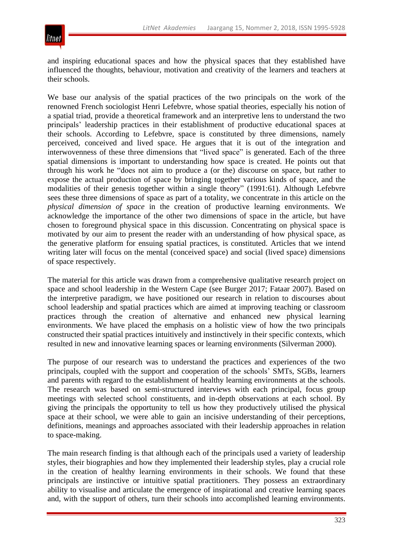

and inspiring educational spaces and how the physical spaces that they established have influenced the thoughts, behaviour, motivation and creativity of the learners and teachers at their schools.

We base our analysis of the spatial practices of the two principals on the work of the renowned French sociologist Henri Lefebvre, whose spatial theories, especially his notion of a spatial triad, provide a theoretical framework and an interpretive lens to understand the two principals' leadership practices in their establishment of productive educational spaces at their schools. According to Lefebvre, space is constituted by three dimensions, namely perceived, conceived and lived space. He argues that it is out of the integration and interwovenness of these three dimensions that "lived space" is generated. Each of the three spatial dimensions is important to understanding how space is created. He points out that through his work he "does not aim to produce a (or the) discourse on space, but rather to expose the actual production of space by bringing together various kinds of space, and the modalities of their genesis together within a single theory" (1991:61). Although Lefebvre sees these three dimensions of space as part of a totality, we concentrate in this article on the *physical dimension of space* in the creation of productive learning environments. We acknowledge the importance of the other two dimensions of space in the article, but have chosen to foreground physical space in this discussion. Concentrating on physical space is motivated by our aim to present the reader with an understanding of how physical space, as the generative platform for ensuing spatial practices, is constituted. Articles that we intend writing later will focus on the mental (conceived space) and social (lived space) dimensions of space respectively.

The material for this article was drawn from a comprehensive qualitative research project on space and school leadership in the Western Cape (see Burger 2017; Fataar 2007). Based on the interpretive paradigm, we have positioned our research in relation to discourses about school leadership and spatial practices which are aimed at improving teaching or classroom practices through the creation of alternative and enhanced new physical learning environments. We have placed the emphasis on a holistic view of how the two principals constructed their spatial practices intuitively and instinctively in their specific contexts, which resulted in new and innovative learning spaces or learning environments (Silverman 2000).

The purpose of our research was to understand the practices and experiences of the two principals, coupled with the support and cooperation of the schools' SMTs, SGBs, learners and parents with regard to the establishment of healthy learning environments at the schools. The research was based on semi-structured interviews with each principal, focus group meetings with selected school constituents, and in-depth observations at each school. By giving the principals the opportunity to tell us how they productively utilised the physical space at their school, we were able to gain an incisive understanding of their perceptions, definitions, meanings and approaches associated with their leadership approaches in relation to space-making.

The main research finding is that although each of the principals used a variety of leadership styles, their biographies and how they implemented their leadership styles, play a crucial role in the creation of healthy learning environments in their schools. We found that these principals are instinctive or intuitive spatial practitioners. They possess an extraordinary ability to visualise and articulate the emergence of inspirational and creative learning spaces and, with the support of others, turn their schools into accomplished learning environments.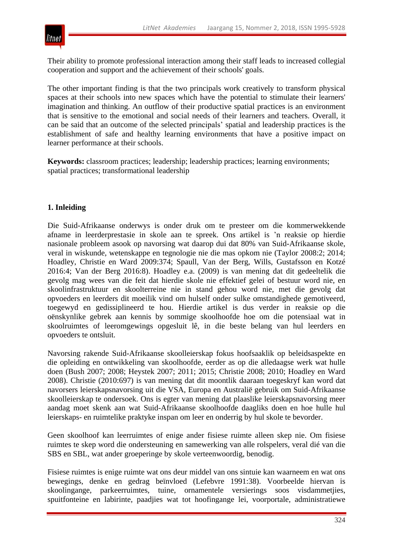

Their ability to promote professional interaction among their staff leads to increased collegial cooperation and support and the achievement of their schools' goals.

The other important finding is that the two principals work creatively to transform physical spaces at their schools into new spaces which have the potential to stimulate their learners' imagination and thinking. An outflow of their productive spatial practices is an environment that is sensitive to the emotional and social needs of their learners and teachers. Overall, it can be said that an outcome of the selected principals' spatial and leadership practices is the establishment of safe and healthy learning environments that have a positive impact on learner performance at their schools.

**Keywords:** classroom practices; leadership; leadership practices; learning environments; spatial practices; transformational leadership

### **1. Inleiding**

Die Suid-Afrikaanse onderwys is onder druk om te presteer om die kommerwekkende afname in leerderprestasie in skole aan te spreek. Ons artikel is 'n reaksie op hierdie nasionale probleem asook op navorsing wat daarop dui dat 80% van Suid-Afrikaanse skole, veral in wiskunde, wetenskappe en tegnologie nie die mas opkom nie (Taylor 2008:2; 2014; Hoadley, Christie en Ward 2009:374; Spaull, Van der Berg, Wills, Gustafsson en Kotzé 2016:4; Van der Berg 2016:8). Hoadley e.a. (2009) is van mening dat dit gedeeltelik die gevolg mag wees van die feit dat hierdie skole nie effektief gelei of bestuur word nie, en skoolinfrastruktuur en skoolterreine nie in stand gehou word nie, met die gevolg dat opvoeders en leerders dit moeilik vind om hulself onder sulke omstandighede gemotiveerd, toegewyd en gedissiplineerd te hou. Hierdie artikel is dus verder in reaksie op die oënskynlike gebrek aan kennis by sommige skoolhoofde hoe om die potensiaal wat in skoolruimtes of leeromgewings opgesluit lê, in die beste belang van hul leerders en opvoeders te ontsluit.

Navorsing rakende Suid-Afrikaanse skoolleierskap fokus hoofsaaklik op beleidsaspekte en die opleiding en ontwikkeling van skoolhoofde, eerder as op die alledaagse werk wat hulle doen (Bush 2007; 2008; Heystek 2007; 2011; 2015; Christie 2008; 2010; Hoadley en Ward 2008). Christie (2010:697) is van mening dat dit moontlik daaraan toegeskryf kan word dat navorsers leierskapsnavorsing uit die VSA, Europa en Australië gebruik om Suid-Afrikaanse skoolleierskap te ondersoek. Ons is egter van mening dat plaaslike leierskapsnavorsing meer aandag moet skenk aan wat Suid-Afrikaanse skoolhoofde daagliks doen en hoe hulle hul leierskaps- en ruimtelike praktyke inspan om leer en onderrig by hul skole te bevorder.

Geen skoolhoof kan leerruimtes of enige ander fisiese ruimte alleen skep nie. Om fisiese ruimtes te skep word die ondersteuning en samewerking van alle rolspelers, veral dié van die SBS en SBL, wat ander groeperinge by skole verteenwoordig, benodig.

Fisiese ruimtes is enige ruimte wat ons deur middel van ons sintuie kan waarneem en wat ons bewegings, denke en gedrag beïnvloed (Lefebvre 1991:38). Voorbeelde hiervan is skoolingange, parkeerruimtes, tuine, ornamentele versierings soos visdammetjies, spuitfonteine en labirinte, paadjies wat tot hoofingange lei, voorportale, administratiewe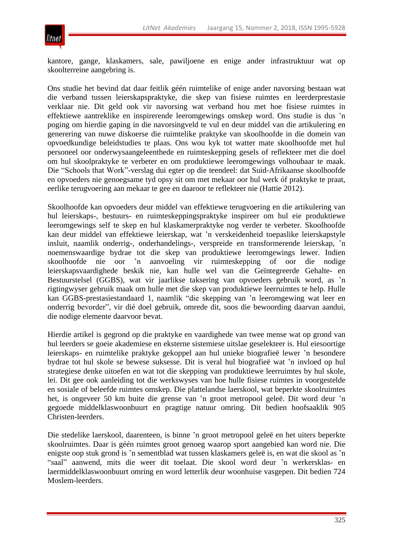

kantore, gange, klaskamers, sale, pawiljoene en enige ander infrastruktuur wat op skoolterreine aangebring is.

Ons studie het bevind dat daar feitlik géén ruimtelike of enige ander navorsing bestaan wat die verband tussen leierskapspraktyke, die skep van fisiese ruimtes en leerderprestasie verklaar nie. Dit geld ook vir navorsing wat verband hou met hoe fisiese ruimtes in effektiewe aantreklike en inspirerende leeromgewings omskep word. Ons studie is dus 'n poging om hierdie gaping in die navorsingveld te vul en deur middel van die artikulering en generering van nuwe diskoerse die ruimtelike praktyke van skoolhoofde in die domein van opvoedkundige beleidstudies te plaas. Ons wou kyk tot watter mate skoolhoofde met hul personeel oor onderwysaangeleenthede en ruimteskepping gesels of reflekteer met die doel om hul skoolpraktyke te verbeter en om produktiewe leeromgewings volhoubaar te maak. Die "Schools that Work"-verslag dui egter op die teendeel: dat Suid-Afrikaanse skoolhoofde en opvoeders nie genoegsame tyd opsy sit om met mekaar oor hul werk óf praktyke te praat, eerlike terugvoering aan mekaar te gee en daaroor te reflekteer nie (Hattie 2012).

Skoolhoofde kan opvoeders deur middel van effektiewe terugvoering en die artikulering van hul leierskaps-, bestuurs- en ruimteskeppingspraktyke inspireer om hul eie produktiewe leeromgewings self te skep en hul klaskamerpraktyke nog verder te verbeter. Skoolhoofde kan deur middel van effektiewe leierskap, wat 'n verskeidenheid toepaslike leierskapstyle insluit, naamlik onderrig-, onderhandelings-, verspreide en transformerende leierskap, 'n noemenswaardige bydrae tot die skep van produktiewe leeromgewings lewer. Indien skoolhoofde nie oor 'n aanvoeling vir ruimteskepping of oor die nodige leierskapsvaardighede beskik nie, kan hulle wel van die Geïntegreerde Gehalte- en Bestuurstelsel (GGBS), wat vir jaarlikse taksering van opvoeders gebruik word, as 'n rigtingwyser gebruik maak om hulle met die skep van produktiewe leerruimtes te help. Hulle kan GGBS-prestasiestandaard 1, naamlik "die skepping van 'n leeromgewing wat leer en onderrig bevorder", vir dié doel gebruik, omrede dit, soos die bewoording daarvan aandui, die nodige elemente daarvoor bevat.

Hierdie artikel is gegrond op die praktyke en vaardighede van twee mense wat op grond van hul leerders se goeie akademiese en eksterne sistemiese uitslae geselekteer is. Hul eiesoortige leierskaps- en ruimtelike praktyke gekoppel aan hul unieke biografieë lewer 'n besondere bydrae tot hul skole se bewese suksesse. Dit is veral hul biografieë wat 'n invloed op hul strategiese denke uitoefen en wat tot die skepping van produktiewe leerruimtes by hul skole, lei. Dit gee ook aanleiding tot die werkswyses van hoe hulle fisiese ruimtes in voorgestelde en sosiale of beleefde ruimtes omskep. Die plattelandse laerskool, wat beperkte skoolruimtes het, is ongeveer 50 km buite die grense van 'n groot metropool geleë. Dit word deur 'n gegoede middelklaswoonbuurt en pragtige natuur omring. Dit bedien hoofsaaklik 905 Christen-leerders.

Die stedelike laerskool, daarenteen, is binne 'n groot metropool geleë en het uiters beperkte skoolruimtes. Daar is géén ruimtes groot genoeg waarop sport aangebied kan word nie. Die enigste oop stuk grond is 'n sementblad wat tussen klaskamers geleë is, en wat die skool as 'n ―saal‖ aanwend, mits die weer dit toelaat. Die skool word deur 'n werkersklas- en laermiddelklaswoonbuurt omring en word letterlik deur woonhuise vasgepen. Dit bedien 724 Moslem-leerders.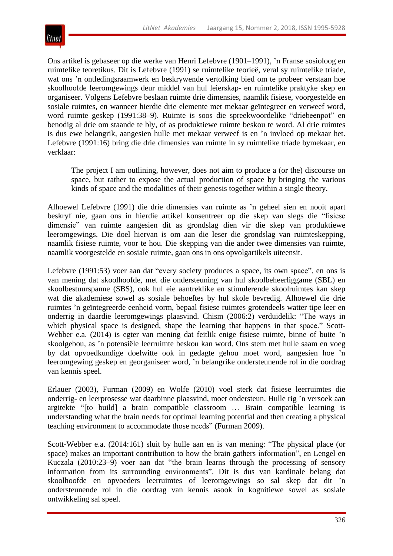

Ons artikel is gebaseer op die werke van Henri Lefebvre (1901–1991), 'n Franse sosioloog en ruimtelike teoretikus. Dit is Lefebvre (1991) se ruimtelike teorieë, veral sy ruimtelike triade, wat ons 'n ontledingsraamwerk en beskrywende vertolking bied om te probeer verstaan hoe skoolhoofde leeromgewings deur middel van hul leierskap- en ruimtelike praktyke skep en organiseer. Volgens Lefebvre beslaan ruimte drie dimensies, naamlik fisiese, voorgestelde en sosiale ruimtes, en wanneer hierdie drie elemente met mekaar geïntegreer en verweef word, word ruimte geskep (1991:38–9). Ruimte is soos die spreekwoordelike "driebeenpot" en benodig al drie om staande te bly, of as produktiewe ruimte beskou te word. Al drie ruimtes is dus ewe belangrik, aangesien hulle met mekaar verweef is en 'n invloed op mekaar het. Lefebvre (1991:16) bring die drie dimensies van ruimte in sy ruimtelike triade bymekaar, en verklaar:

The project I am outlining, however, does not aim to produce a (or the) discourse on space, but rather to expose the actual production of space by bringing the various kinds of space and the modalities of their genesis together within a single theory.

Alhoewel Lefebvre (1991) die drie dimensies van ruimte as 'n geheel sien en nooit apart beskryf nie, gaan ons in hierdie artikel konsentreer op die skep van slegs die "fisiese dimensie" van ruimte aangesien dit as grondslag dien vir die skep van produktiewe leeromgewings. Die doel hiervan is om aan die leser die grondslag van ruimteskepping, naamlik fisiese ruimte, voor te hou. Die skepping van die ander twee dimensies van ruimte, naamlik voorgestelde en sosiale ruimte, gaan ons in ons opvolgartikels uiteensit.

Lefebvre (1991:53) voer aan dat "every society produces a space, its own space", en ons is van mening dat skoolhoofde, met die ondersteuning van hul skoolbeheerliggame (SBL) en skoolbestuurspanne (SBS), ook hul eie aantreklike en stimulerende skoolruimtes kan skep wat die akademiese sowel as sosiale behoeftes by hul skole bevredig. Alhoewel die drie ruimtes 'n geïntegreerde eenheid vorm, bepaal fisiese ruimtes grotendeels watter tipe leer en onderrig in daardie leeromgewings plaasvind. Chism (2006:2) verduidelik: "The ways in which physical space is designed, shape the learning that happens in that space." Scott-Webber e.a. (2014) is egter van mening dat feitlik enige fisiese ruimte, binne of buite 'n skoolgebou, as 'n potensiële leerruimte beskou kan word. Ons stem met hulle saam en voeg by dat opvoedkundige doelwitte ook in gedagte gehou moet word, aangesien hoe 'n leeromgewing geskep en georganiseer word, 'n belangrike ondersteunende rol in die oordrag van kennis speel.

Erlauer (2003), Furman (2009) en Wolfe (2010) voel sterk dat fisiese leerruimtes die onderrig- en leerprosesse wat daarbinne plaasvind, moet ondersteun. Hulle rig 'n versoek aan argitekte "[to build] a brain compatible classroom ... Brain compatible learning is understanding what the brain needs for optimal learning potential and then creating a physical teaching environment to accommodate those needs" (Furman 2009).

Scott-Webber e.a. (2014:161) sluit by hulle aan en is van mening: "The physical place (or space) makes an important contribution to how the brain gathers information", en Lengel en Kuczala  $(2010:23-9)$  voer aan dat "the brain learns through the processing of sensory information from its surrounding environments". Dit is dus van kardinale belang dat skoolhoofde en opvoeders leerruimtes of leeromgewings so sal skep dat dit 'n ondersteunende rol in die oordrag van kennis asook in kognitiewe sowel as sosiale ontwikkeling sal speel.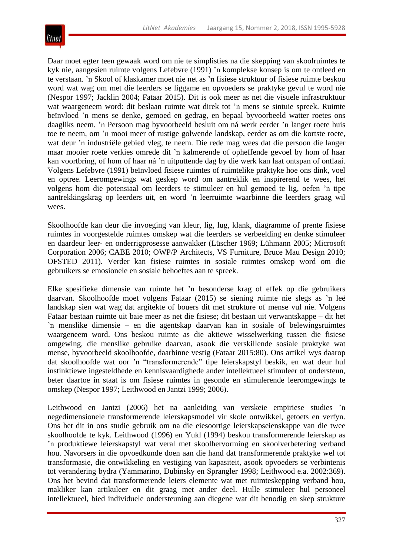

Daar moet egter teen gewaak word om nie te simplisties na die skepping van skoolruimtes te kyk nie, aangesien ruimte volgens Lefebvre (1991) 'n komplekse konsep is om te ontleed en te verstaan. 'n Skool of klaskamer moet nie net as 'n fisiese struktuur of fisiese ruimte beskou word wat wag om met die leerders se liggame en opvoeders se praktyke gevul te word nie (Nespor 1997; Jacklin 2004; Fataar 2015). Dit is ook meer as net die visuele infrastruktuur wat waargeneem word: dit beslaan ruimte wat direk tot 'n mens se sintuie spreek. Ruimte beïnvloed 'n mens se denke, gemoed en gedrag, en bepaal byvoorbeeld watter roetes ons daagliks neem. 'n Persoon mag byvoorbeeld besluit om ná werk eerder 'n langer roete huis toe te neem, om 'n mooi meer of rustige golwende landskap, eerder as om die kortste roete, wat deur 'n industriële gebied vleg, te neem. Die rede mag wees dat die persoon die langer maar mooier roete verkies omrede dit 'n kalmerende of opheffende gevoel by hom of haar kan voortbring, of hom of haar ná 'n uitputtende dag by die werk kan laat ontspan of ontlaai. Volgens Lefebvre (1991) beïnvloed fisiese ruimtes of ruimtelike praktyke hoe ons dink, voel en optree. Leeromgewings wat geskep word om aantreklik en inspirerend te wees, het volgens hom die potensiaal om leerders te stimuleer en hul gemoed te lig, oefen 'n tipe aantrekkingskrag op leerders uit, en word 'n leerruimte waarbinne die leerders graag wil wees.

Skoolhoofde kan deur die invoeging van kleur, lig, lug, klank, diagramme of prente fisiese ruimtes in voorgestelde ruimtes omskep wat die leerders se verbeelding en denke stimuleer en daardeur leer- en onderrigprosesse aanwakker (Lüscher 1969; Lühmann 2005; Microsoft Corporation 2006; CABE 2010; OWP/P Architects, VS Furniture, Bruce Mau Design 2010; OFSTED 2011). Verder kan fisiese ruimtes in sosiale ruimtes omskep word om die gebruikers se emosionele en sosiale behoeftes aan te spreek.

Elke spesifieke dimensie van ruimte het 'n besonderse krag of effek op die gebruikers daarvan. Skoolhoofde moet volgens Fataar (2015) se siening ruimte nie slegs as 'n leë landskap sien wat wag dat argitekte of bouers dit met strukture of mense vul nie. Volgens Fataar bestaan ruimte uit baie meer as net die fisiese; dit bestaan uit verwantskappe – dit het 'n menslike dimensie – en die agentskap daarvan kan in sosiale of belewingsruimtes waargeneem word. Ons beskou ruimte as die aktiewe wisselwerking tussen die fisiese omgewing, die menslike gebruike daarvan, asook die verskillende sosiale praktyke wat mense, byvoorbeeld skoolhoofde, daarbinne vestig (Fataar 2015:80). Ons artikel wys daarop dat skoolhoofde wat oor 'n "transformerende" tipe leierskapstyl beskik, en wat deur hul instinktiewe ingesteldhede en kennisvaardighede ander intellektueel stimuleer of ondersteun, beter daartoe in staat is om fisiese ruimtes in gesonde en stimulerende leeromgewings te omskep (Nespor 1997; Leithwood en Jantzi 1999; 2006).

Leithwood en Jantzi (2006) het na aanleiding van verskeie empiriese studies 'n negedimensionele transformerende leierskapsmodel vir skole ontwikkel, getoets en verfyn. Ons het dit in ons studie gebruik om na die eiesoortige leierskapseienskappe van die twee skoolhoofde te kyk. Leithwood (1996) en Yukl (1994) beskou transformerende leierskap as 'n produktiewe leierskapstyl wat veral met skoolhervorming en skoolverbetering verband hou. Navorsers in die opvoedkunde doen aan die hand dat transformerende praktyke wel tot transformasie, die ontwikkeling en vestiging van kapasiteit, asook opvoeders se verbintenis tot verandering bydra (Yammarino, Dubinsky en Sprangler 1998; Leithwood e.a. 2002:369). Ons het bevind dat transformerende leiers elemente wat met ruimteskepping verband hou, makliker kan artikuleer en dit graag met ander deel. Hulle stimuleer hul personeel intellektueel, bied individuele ondersteuning aan diegene wat dit benodig en skep strukture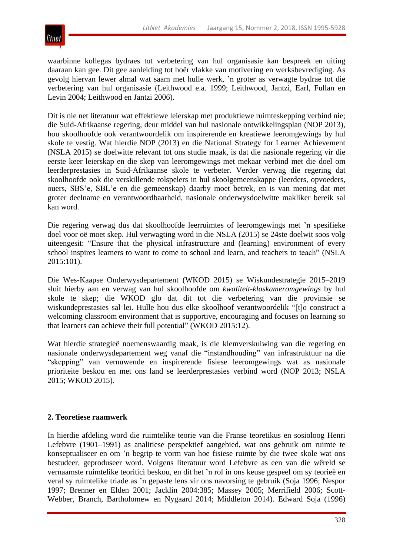

waarbinne kollegas bydraes tot verbetering van hul organisasie kan bespreek en uiting daaraan kan gee. Dit gee aanleiding tot hoër vlakke van motivering en werksbevrediging. As gevolg hiervan lewer almal wat saam met hulle werk, 'n groter as verwagte bydrae tot die verbetering van hul organisasie (Leithwood e.a. 1999; Leithwood, Jantzi, Earl, Fullan en Levin 2004; Leithwood en Jantzi 2006).

Dit is nie net literatuur wat effektiewe leierskap met produktiewe ruimteskepping verbind nie; die Suid-Afrikaanse regering, deur middel van hul nasionale ontwikkelingsplan (NOP 2013), hou skoolhoofde ook verantwoordelik om inspirerende en kreatiewe leeromgewings by hul skole te vestig. Wat hierdie NOP (2013) en die National Strategy for Learner Achievement (NSLA 2015) se doelwitte relevant tot ons studie maak, is dat die nasionale regering vir die eerste keer leierskap en die skep van leeromgewings met mekaar verbind met die doel om leerderprestasies in Suid-Afrikaanse skole te verbeter. Verder verwag die regering dat skoolhoofde ook die verskillende rolspelers in hul skoolgemeenskappe (leerders, opvoeders, ouers, SBS'e, SBL'e en die gemeenskap) daarby moet betrek, en is van mening dat met groter deelname en verantwoordbaarheid, nasionale onderwysdoelwitte makliker bereik sal kan word.

Die regering verwag dus dat skoolhoofde leerruimtes of leeromgewings met 'n spesifieke doel voor oë moet skep. Hul verwagting word in die NSLA (2015) se 24ste doelwit soos volg uiteengesit: "Ensure that the physical infrastructure and (learning) environment of every school inspires learners to want to come to school and learn, and teachers to teach" (NSLA 2015:101).

Die Wes-Kaapse Onderwysdepartement (WKOD 2015) se Wiskundestrategie 2015–2019 sluit hierby aan en verwag van hul skoolhoofde om *kwaliteit-klaskameromgewings* by hul skole te skep; die WKOD glo dat dit tot die verbetering van die provinsie se wiskundeprestasies sal lei. Hulle hou dus elke skoolhoof verantwoordelik "[t]o construct a welcoming classroom environment that is supportive, encouraging and focuses on learning so that learners can achieve their full potential" (WKOD 2015:12).

Wat hierdie strategieë noemenswaardig maak, is die klemverskuiwing van die regering en nasionale onderwysdepartement weg vanaf die "instandhouding" van infrastruktuur na die "skepping" van vernuwende en inspirerende fisiese leeromgewings wat as nasionale prioriteite beskou en met ons land se leerderprestasies verbind word (NOP 2013; NSLA 2015; WKOD 2015).

### **2. Teoretiese raamwerk**

In hierdie afdeling word die ruimtelike teorie van die Franse teoretikus en sosioloog Henri Lefebvre (1901–1991) as analitiese perspektief aangebied, wat ons gebruik om ruimte te konseptualiseer en om 'n begrip te vorm van hoe fisiese ruimte by die twee skole wat ons bestudeer, geproduseer word. Volgens literatuur word Lefebvre as een van die wêreld se vernaamste ruimtelike teoritici beskou, en dit het 'n rol in ons keuse gespeel om sy teorieë en veral sy ruimtelike triade as 'n gepaste lens vir ons navorsing te gebruik (Soja 1996; Nespor 1997; Brenner en Elden 2001; Jacklin 2004:385; Massey 2005; Merrifield 2006; Scott-Webber, Branch, Bartholomew en Nygaard 2014; Middleton 2014). Edward Soja (1996)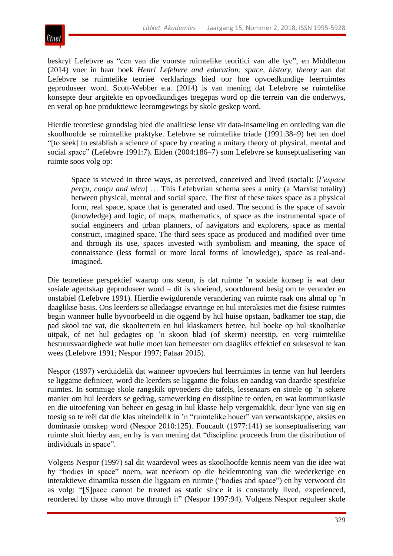

beskryf Lefebvre as "een van die voorste ruimtelike teoritici van alle tye", en Middleton (2014) voer in haar boek *Henri Lefebvre and education: space, history, theory* aan dat Lefebvre se ruimtelike teorieë verklarings bied oor hoe opvoedkundige leerruimtes geproduseer word. Scott-Webber e.a. (2014) is van mening dat Lefebvre se ruimtelike konsepte deur argitekte en opvoedkundiges toegepas word op die terrein van die onderwys, en veral op hoe produktiewe leeromgewings by skole geskep word.

Hierdie teoretiese grondslag bied die analitiese lense vir data-insameling en ontleding van die skoolhoofde se ruimtelike praktyke. Lefebvre se ruimtelike triade (1991:38–9) het ten doel ―[to seek] to establish a science of space by creating a unitary theory of physical, mental and social space" (Lefebvre 1991:7). Elden (2004:186–7) som Lefebvre se konseptualisering van ruimte soos volg op:

Space is viewed in three ways, as perceived, conceived and lived (social): [*l'espace perçu, conçu and vécu*] … This Lefebvrian schema sees a unity (a Marxist totality) between physical, mental and social space. The first of these takes space as a physical form, real space, space that is generated and used. The second is the space of savoir (knowledge) and logic, of maps, mathematics, of space as the instrumental space of social engineers and urban planners, of navigators and explorers, space as mental construct, imagined space. The third sees space as produced and modified over time and through its use, spaces invested with symbolism and meaning, the space of connaissance (less formal or more local forms of knowledge), space as real-andimagined.

Die teoretiese perspektief waarop ons steun, is dat ruimte 'n sosiale konsep is wat deur sosiale agentskap geproduseer word – dit is vloeiend, voortdurend besig om te verander en onstabiel (Lefebvre 1991). Hierdie ewigdurende verandering van ruimte raak ons almal op 'n daaglikse basis. Ons leerders se alledaagse ervaringe en hul interaksies met die fisiese ruimtes begin wanneer hulle byvoorbeeld in die oggend by hul huise opstaan, badkamer toe stap, die pad skool toe vat, die skoolterrein en hul klaskamers betree, hul boeke op hul skoolbanke uitpak, of net hul gedagtes op 'n skoon blad (of skerm) neerstip, en verg ruimtelike bestuursvaardighede wat hulle moet kan bemeester om daagliks effektief en suksesvol te kan wees (Lefebvre 1991; Nespor 1997; Fataar 2015).

Nespor (1997) verduidelik dat wanneer opvoeders hul leerruimtes in terme van hul leerders se liggame definieer, word die leerders se liggame die fokus en aandag van daardie spesifieke ruimtes. In sommige skole rangskik opvoeders die tafels, lessenaars en stoele op 'n sekere manier om hul leerders se gedrag, samewerking en dissipline te orden, en wat kommunikasie en die uitoefening van beheer en gesag in hul klasse help vergemaklik, deur lyne van sig en toesig so te reël dat die klas uiteindelik in 'n "ruimtelike houer" van verwantskappe, aksies en dominasie omskep word (Nespor 2010:125). Foucault (1977:141) se konseptualisering van ruimte sluit hierby aan, en hy is van mening dat "discipline proceeds from the distribution of individuals in space".

Volgens Nespor (1997) sal dit waardevol wees as skoolhoofde kennis neem van die idee wat hy "bodies in space" noem, wat neerkom op die beklemtoning van die wederkerige en interaktiewe dinamika tussen die liggaam en ruimte ("bodies and space") en hy verwoord dit as volg: "[S]pace cannot be treated as static since it is constantly lived, experienced, reordered by those who move through it" (Nespor 1997:94). Volgens Nespor reguleer skole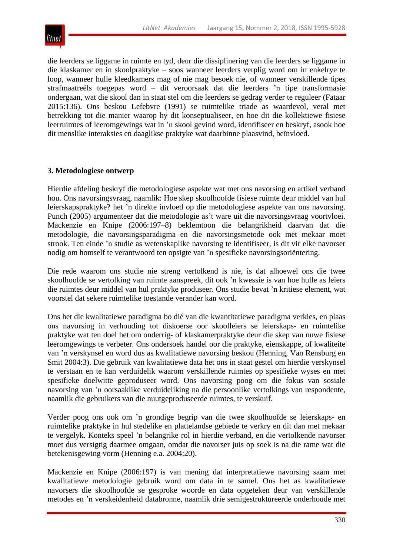

die leerders se liggame in ruimte en tyd, deur die dissiplinering van die leerders se liggame in die klaskamer en in skoolpraktyke – soos wanneer leerders verplig word om in enkelrye te loop, wanneer hulle kleedkamers mag of nie mag besoek nie, of wanneer verskillende tipes strafmaatreëls toegepas word – dit veroorsaak dat die leerders 'n tipe transformasie ondergaan, wat die skool dan in staat stel om die leerders se gedrag verder te reguleer (Fataar 2015:136). Ons beskou Lefebvre (1991) se ruimtelike triade as waardevol, veral met betrekking tot die manier waarop hy dit konseptualiseer, en hoe dit die kollektiewe fisiese leerruimtes of leeromgewings wat in 'n skool gevind word, identifiseer en beskryf, asook hoe dit menslike interaksies en daaglikse praktyke wat daarbinne plaasvind, beïnvloed.

### **3. Metodologiese ontwerp**

Hierdie afdeling beskryf die metodologiese aspekte wat met ons navorsing en artikel verband hou. Ons navorsingsvraag, naamlik: Hoe skep skoolhoofde fisiese ruimte deur middel van hul leierskapspraktyke? het 'n direkte invloed op die metodologiese aspekte van ons navorsing. Punch (2005) argumenteer dat die metodologie as't ware uit die navorsingsvraag voortvloei. Mackenzie en Knipe (2006:197–8) beklemtoon die belangrikheid daarvan dat die metodologie, die navorsingsparadigma en die navorsingsmetode ook met mekaar moet strook. Ten einde 'n studie as wetenskaplike navorsing te identifiseer, is dit vir elke navorser nodig om homself te verantwoord ten opsigte van 'n spesifieke navorsingsoriëntering.

Die rede waarom ons studie nie streng vertolkend is nie, is dat alhoewel ons die twee skoolhoofde se vertolking van ruimte aanspreek, dit ook 'n kwessie is van hoe hulle as leiers die ruimtes deur middel van hul praktyke produseer. Ons studie bevat 'n kritiese element, wat voorstel dat sekere ruimtelike toestande verander kan word.

Ons het die kwalitatiewe paradigma bo dié van die kwantitatiewe paradigma verkies, en plaas ons navorsing in verhouding tot diskoerse oor skoolleiers se leierskaps- en ruimtelike praktyke wat ten doel het om onderrig- of klaskamerpraktyke deur die skep van nuwe fisiese leeromgewings te verbeter. Ons ondersoek handel oor die praktyke, eienskappe, of kwaliteite van 'n verskynsel en word dus as kwalitatiewe navorsing beskou (Henning, Van Rensburg en Smit 2004:3). Die gebruik van kwalitatiewe data het ons in staat gestel om hierdie verskynsel te verstaan en te kan verduidelik waarom verskillende ruimtes op spesifieke wyses en met spesifieke doelwitte geproduseer word. Ons navorsing poog om die fokus van sosiale navorsing van 'n oorsaaklike verduideliking na die persoonlike vertolkings van respondente, naamlik die gebruikers van die nuutgeproduseerde ruimtes, te verskuif.

Verder poog ons ook om 'n grondige begrip van die twee skoolhoofde se leierskaps- en ruimtelike praktyke in hul stedelike en plattelandse gebiede te verkry en dit dan met mekaar te vergelyk. Konteks speel 'n belangrike rol in hierdie verband, en die vertolkende navorser moet dus versigtig daarmee omgaan, omdat die navorser juis op soek is na die rame wat die betekenisgewing vorm (Henning e.a. 2004:20).

Mackenzie en Knipe (2006:197) is van mening dat interpretatiewe navorsing saam met kwalitatiewe metodologie gebruik word om data in te samel. Ons het as kwalitatiewe navorsers die skoolhoofde se gesproke woorde en data opgeteken deur van verskillende metodes en 'n verskeidenheid databronne, naamlik drie semigestruktureerde onderhoude met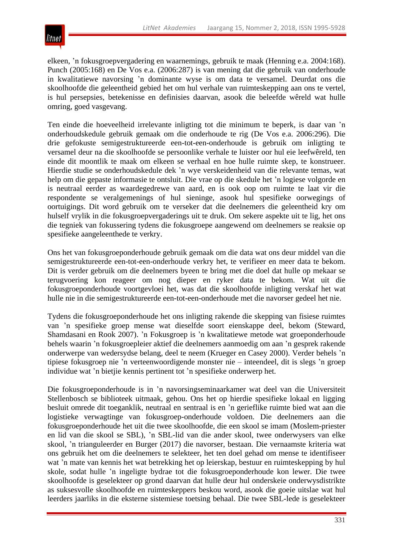elkeen, 'n fokusgroepvergadering en waarnemings, gebruik te maak (Henning e.a. 2004:168). Punch (2005:168) en De Vos e.a. (2006:287) is van mening dat die gebruik van onderhoude in kwalitatiewe navorsing 'n dominante wyse is om data te versamel. Deurdat ons die skoolhoofde die geleentheid gebied het om hul verhale van ruimteskepping aan ons te vertel, is hul persepsies, betekenisse en definisies daarvan, asook die beleefde wêreld wat hulle omring, goed vasgevang.

Ten einde die hoeveelheid irrelevante inligting tot die minimum te beperk, is daar van 'n onderhoudskedule gebruik gemaak om die onderhoude te rig (De Vos e.a. 2006:296). Die drie gefokuste semigestruktureerde een-tot-een-onderhoude is gebruik om inligting te versamel deur na die skoolhoofde se persoonlike verhale te luister oor hul eie leefwêreld, ten einde dit moontlik te maak om elkeen se verhaal en hoe hulle ruimte skep, te konstrueer. Hierdie studie se onderhoudskedule dek 'n wye verskeidenheid van die relevante temas, wat help om die gepaste informasie te ontsluit. Die vrae op die skedule het 'n logiese volgorde en is neutraal eerder as waardegedrewe van aard, en is ook oop om ruimte te laat vir die respondente se veralgemenings of hul sieninge, asook hul spesifieke oorwegings of oortuigings. Dit word gebruik om te verseker dat die deelnemers die geleentheid kry om hulself vrylik in die fokusgroepvergaderings uit te druk. Om sekere aspekte uit te lig, het ons die tegniek van fokussering tydens die fokusgroepe aangewend om deelnemers se reaksie op spesifieke aangeleenthede te verkry.

Ons het van fokusgroeponderhoude gebruik gemaak om die data wat ons deur middel van die semigestruktureerde een-tot-een-onderhoude verkry het, te verifieer en meer data te bekom. Dit is verder gebruik om die deelnemers byeen te bring met die doel dat hulle op mekaar se terugvoering kon reageer om nog dieper en ryker data te bekom. Wat uit die fokusgroeponderhoude voortgevloei het, was dat die skoolhoofde inligting verskaf het wat hulle nie in die semigestruktureerde een-tot-een-onderhoude met die navorser gedeel het nie.

Tydens die fokusgroeponderhoude het ons inligting rakende die skepping van fisiese ruimtes van 'n spesifieke groep mense wat dieselfde soort eienskappe deel, bekom (Steward, Shamdasani en Rook 2007). 'n Fokusgroep is 'n kwalitatiewe metode wat groeponderhoude behels waarin 'n fokusgroepleier aktief die deelnemers aanmoedig om aan 'n gesprek rakende onderwerpe van wedersydse belang, deel te neem (Krueger en Casey 2000). Verder behels 'n tipiese fokusgroep nie 'n verteenwoordigende monster nie – inteendeel, dit is slegs 'n groep individue wat 'n bietjie kennis pertinent tot 'n spesifieke onderwerp het.

Die fokusgroeponderhoude is in 'n navorsingseminaarkamer wat deel van die Universiteit Stellenbosch se biblioteek uitmaak, gehou. Ons het op hierdie spesifieke lokaal en ligging besluit omrede dit toeganklik, neutraal en sentraal is en 'n gerieflike ruimte bied wat aan die logistieke verwagtinge van fokusgroep-onderhoude voldoen. Die deelnemers aan die fokusgroeponderhoude het uit die twee skoolhoofde, die een skool se imam (Moslem-priester en lid van die skool se SBL), 'n SBL-lid van die ander skool, twee onderwysers van elke skool, 'n trianguleerder en Burger (2017) die navorser, bestaan. Die vernaamste kriteria wat ons gebruik het om die deelnemers te selekteer, het ten doel gehad om mense te identifiseer wat 'n mate van kennis het wat betrekking het op leierskap, bestuur en ruimteskepping by hul skole, sodat hulle 'n ingeligte bydrae tot die fokusgroeponderhoude kon lewer. Die twee skoolhoofde is geselekteer op grond daarvan dat hulle deur hul onderskeie onderwysdistrikte as suksesvolle skoolhoofde en ruimteskeppers beskou word, asook die goeie uitslae wat hul leerders jaarliks in die eksterne sistemiese toetsing behaal. Die twee SBL-lede is geselekteer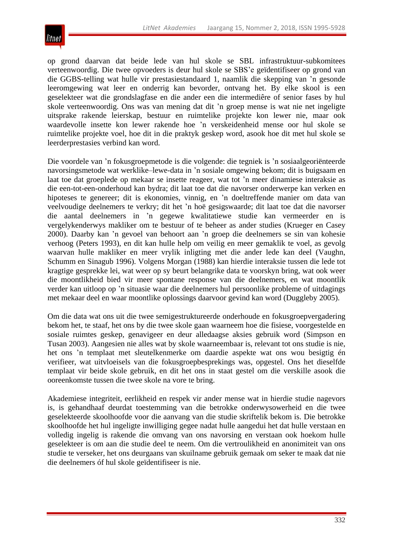

op grond daarvan dat beide lede van hul skole se SBL infrastruktuur-subkomitees verteenwoordig. Die twee opvoeders is deur hul skole se SBS'e geïdentifiseer op grond van die GGBS-telling wat hulle vir prestasiestandaard 1, naamlik die skepping van 'n gesonde leeromgewing wat leer en onderrig kan bevorder, ontvang het. By elke skool is een geselekteer wat die grondslagfase en die ander een die intermediêre of senior fases by hul skole verteenwoordig. Ons was van mening dat dit 'n groep mense is wat nie net ingeligte uitsprake rakende leierskap, bestuur en ruimtelike projekte kon lewer nie, maar ook waardevolle insette kon lewer rakende hoe 'n verskeidenheid mense oor hul skole se ruimtelike projekte voel, hoe dit in die praktyk geskep word, asook hoe dit met hul skole se leerderprestasies verbind kan word.

Die voordele van 'n fokusgroepmetode is die volgende: die tegniek is 'n sosiaalgeoriënteerde navorsingsmetode wat werklike–lewe-data in 'n sosiale omgewing bekom; dit is buigsaam en laat toe dat groeplede op mekaar se insette reageer, wat tot 'n meer dinamiese interaksie as die een-tot-een-onderhoud kan bydra; dit laat toe dat die navorser onderwerpe kan verken en hipoteses te genereer; dit is ekonomies, vinnig, en 'n doeltreffende manier om data van veelvoudige deelnemers te verkry; dit het 'n hoë gesigswaarde; dit laat toe dat die navorser die aantal deelnemers in 'n gegewe kwalitatiewe studie kan vermeerder en is vergelykenderwys makliker om te bestuur of te beheer as ander studies (Krueger en Casey 2000). Daarby kan 'n gevoel van behoort aan 'n groep die deelnemers se sin van kohesie verhoog (Peters 1993), en dit kan hulle help om veilig en meer gemaklik te voel, as gevolg waarvan hulle makliker en meer vrylik inligting met die ander lede kan deel (Vaughn, Schumm en Sinagub 1996). Volgens Morgan (1988) kan hierdie interaksie tussen die lede tot kragtige gesprekke lei, wat weer op sy beurt belangrike data te voorskyn bring, wat ook weer die moontlikheid bied vir meer spontane response van die deelnemers, en wat moontlik verder kan uitloop op 'n situasie waar die deelnemers hul persoonlike probleme of uitdagings met mekaar deel en waar moontlike oplossings daarvoor gevind kan word (Duggleby 2005).

Om die data wat ons uit die twee semigestruktureerde onderhoude en fokusgroepvergadering bekom het, te staaf, het ons by die twee skole gaan waarneem hoe die fisiese, voorgestelde en sosiale ruimtes geskep, genavigeer en deur alledaagse aksies gebruik word (Simpson en Tusan 2003). Aangesien nie alles wat by skole waarneembaar is, relevant tot ons studie is nie, het ons 'n templaat met sleutelkenmerke om daardie aspekte wat ons wou besigtig én verifieer, wat uitvloeisels van die fokusgroepbesprekings was, opgestel. Ons het dieselfde templaat vir beide skole gebruik, en dit het ons in staat gestel om die verskille asook die ooreenkomste tussen die twee skole na vore te bring.

Akademiese integriteit, eerlikheid en respek vir ander mense wat in hierdie studie nagevors is, is gehandhaaf deurdat toestemming van die betrokke onderwysowerheid en die twee geselekteerde skoolhoofde voor die aanvang van die studie skriftelik bekom is. Die betrokke skoolhoofde het hul ingeligte inwilliging gegee nadat hulle aangedui het dat hulle verstaan en volledig ingelig is rakende die omvang van ons navorsing en verstaan ook hoekom hulle geselekteer is om aan die studie deel te neem. Om die vertroulikheid en anonimiteit van ons studie te verseker, het ons deurgaans van skuilname gebruik gemaak om seker te maak dat nie die deelnemers óf hul skole geïdentifiseer is nie.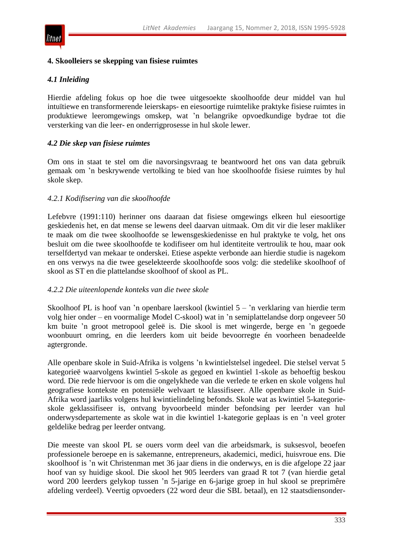#### **4. Skoolleiers se skepping van fisiese ruimtes**

#### *4.1 Inleiding*

Hierdie afdeling fokus op hoe die twee uitgesoekte skoolhoofde deur middel van hul intuïtiewe en transformerende leierskaps- en eiesoortige ruimtelike praktyke fisiese ruimtes in produktiewe leeromgewings omskep, wat 'n belangrike opvoedkundige bydrae tot die versterking van die leer- en onderrigprosesse in hul skole lewer.

#### *4.2 Die skep van fisiese ruimtes*

Om ons in staat te stel om die navorsingsvraag te beantwoord het ons van data gebruik gemaak om 'n beskrywende vertolking te bied van hoe skoolhoofde fisiese ruimtes by hul skole skep.

#### *4.2.1 Kodifisering van die skoolhoofde*

Lefebvre (1991:110) herinner ons daaraan dat fisiese omgewings elkeen hul eiesoortige geskiedenis het, en dat mense se lewens deel daarvan uitmaak. Om dit vir die leser makliker te maak om die twee skoolhoofde se lewensgeskiedenisse en hul praktyke te volg, het ons besluit om die twee skoolhoofde te kodifiseer om hul identiteite vertroulik te hou, maar ook terselfdertyd van mekaar te onderskei. Etiese aspekte verbonde aan hierdie studie is nagekom en ons verwys na die twee geselekteerde skoolhoofde soos volg: die stedelike skoolhoof of skool as ST en die plattelandse skoolhoof of skool as PL.

#### *4.2.2 Die uiteenlopende konteks van die twee skole*

Skoolhoof PL is hoof van 'n openbare laerskool (kwintiel 5 – 'n verklaring van hierdie term volg hier onder – en voormalige Model C-skool) wat in 'n semiplattelandse dorp ongeveer 50 km buite 'n groot metropool geleë is. Die skool is met wingerde, berge en 'n gegoede woonbuurt omring, en die leerders kom uit beide bevoorregte én voorheen benadeelde agtergronde.

Alle openbare skole in Suid-Afrika is volgens 'n kwintielstelsel ingedeel. Die stelsel vervat 5 kategorieë waarvolgens kwintiel 5-skole as gegoed en kwintiel 1-skole as behoeftig beskou word. Die rede hiervoor is om die ongelykhede van die verlede te erken en skole volgens hul geografiese kontekste en potensiële welvaart te klassifiseer. Alle openbare skole in Suid-Afrika word jaarliks volgens hul kwintielindeling befonds. Skole wat as kwintiel 5-kategorieskole geklassifiseer is, ontvang byvoorbeeld minder befondsing per leerder van hul onderwysdepartemente as skole wat in die kwintiel 1-kategorie geplaas is en 'n veel groter geldelike bedrag per leerder ontvang.

Die meeste van skool PL se ouers vorm deel van die arbeidsmark, is suksesvol, beoefen professionele beroepe en is sakemanne, entrepreneurs, akademici, medici, huisvroue ens. Die skoolhoof is 'n wit Christenman met 36 jaar diens in die onderwys, en is die afgelope 22 jaar hoof van sy huidige skool. Die skool het 905 leerders van graad R tot 7 (van hierdie getal word 200 leerders gelykop tussen 'n 5-jarige en 6-jarige groep in hul skool se preprimêre afdeling verdeel). Veertig opvoeders (22 word deur die SBL betaal), en 12 staatsdiensonder-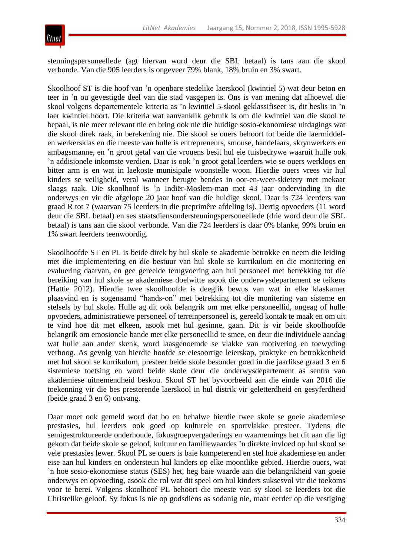

steuningspersoneellede (agt hiervan word deur die SBL betaal) is tans aan die skool verbonde. Van die 905 leerders is ongeveer 79% blank, 18% bruin en 3% swart.

Skoolhoof ST is die hoof van 'n openbare stedelike laerskool (kwintiel 5) wat deur beton en teer in 'n ou gevestigde deel van die stad vasgepen is. Ons is van mening dat alhoewel die skool volgens departementele kriteria as 'n kwintiel 5-skool geklassifiseer is, dit beslis in 'n laer kwintiel hoort. Die kriteria wat aanvanklik gebruik is om die kwintiel van die skool te bepaal, is nie meer relevant nie en bring ook nie die huidige sosio-ekonomiese uitdagings wat die skool direk raak, in berekening nie. Die skool se ouers behoort tot beide die laermiddelen werkersklas en die meeste van hulle is entrepreneurs, smouse, handelaars, skrynwerkers en ambagsmanne, en 'n groot getal van die vrouens besit hul eie tuisbedrywe waaruit hulle ook 'n addisionele inkomste verdien. Daar is ook 'n groot getal leerders wie se ouers werkloos en bitter arm is en wat in laekoste munisipale woonstelle woon. Hierdie ouers vrees vir hul kinders se veiligheid, veral wanneer berugte bendes in oor-en-weer-skietery met mekaar slaags raak. Die skoolhoof is 'n Indiër-Moslem-man met 43 jaar ondervinding in die onderwys en vir die afgelope 20 jaar hoof van die huidige skool. Daar is 724 leerders van graad R tot 7 (waarvan 75 leerders in die preprimêre afdeling is). Dertig opvoeders (11 word deur die SBL betaal) en ses staatsdiensondersteuningspersoneellede (drie word deur die SBL betaal) is tans aan die skool verbonde. Van die 724 leerders is daar 0% blanke, 99% bruin en 1% swart leerders teenwoordig.

Skoolhoofde ST en PL is beide direk by hul skole se akademie betrokke en neem die leiding met die implementering en die bestuur van hul skole se kurrikulum en die monitering en evaluering daarvan, en gee gereelde terugvoering aan hul personeel met betrekking tot die bereiking van hul skole se akademiese doelwitte asook die onderwysdepartement se teikens (Hattie 2012). Hierdie twee skoolhoofde is deeglik bewus van wat in elke klaskamer plaasvind en is sogenaamd ―hands-on‖ met betrekking tot die monitering van sisteme en stelsels by hul skole. Hulle ag dit ook belangrik om met elke personeellid, ongeag of hulle opvoeders, administratiewe personeel of terreinpersoneel is, gereeld kontak te maak en om uit te vind hoe dit met elkeen, asook met hul gesinne, gaan. Dit is vir beide skoolhoofde belangrik om emosionele bande met elke personeellid te smee, en deur die individuele aandag wat hulle aan ander skenk, word laasgenoemde se vlakke van motivering en toewyding verhoog. As gevolg van hierdie hoofde se eiesoortige leierskap, praktyke en betrokkenheid met hul skool se kurrikulum, presteer beide skole besonder goed in die jaarlikse graad 3 en 6 sistemiese toetsing en word beide skole deur die onderwysdepartement as sentra van akademiese uitnemendheid beskou. Skool ST het byvoorbeeld aan die einde van 2016 die toekenning vir die bes presterende laerskool in hul distrik vir geletterdheid en gesyferdheid (beide graad 3 en 6) ontvang.

Daar moet ook gemeld word dat bo en behalwe hierdie twee skole se goeie akademiese prestasies, hul leerders ook goed op kulturele en sportvlakke presteer. Tydens die semigestruktureerde onderhoude, fokusgroepvergaderings en waarnemings het dit aan die lig gekom dat beide skole se geloof, kultuur en familiewaardes 'n direkte invloed op hul skool se vele prestasies lewer. Skool PL se ouers is baie kompeterend en stel hoë akademiese en ander eise aan hul kinders en ondersteun hul kinders op elke moontlike gebied. Hierdie ouers, wat 'n hoë sosio-ekonomiese status (SES) het, heg baie waarde aan die belangrikheid van goeie onderwys en opvoeding, asook die rol wat dit speel om hul kinders suksesvol vir die toekoms voor te berei. Volgens skoolhoof PL behoort die meeste van sy skool se leerders tot die Christelike geloof. Sy fokus is nie op godsdiens as sodanig nie, maar eerder op die vestiging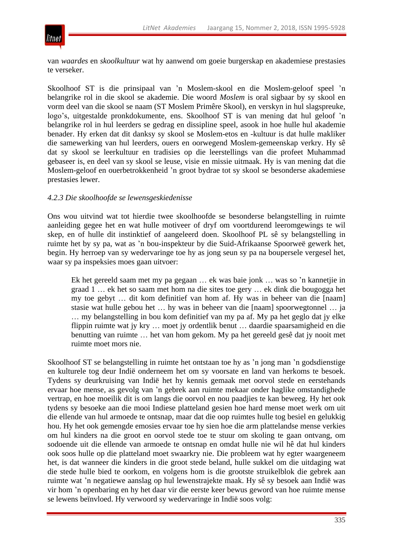

van *waardes* en *skoolkultuur* wat hy aanwend om goeie burgerskap en akademiese prestasies te verseker.

Skoolhoof ST is die prinsipaal van 'n Moslem-skool en die Moslem-geloof speel 'n belangrike rol in die skool se akademie. Die woord *Moslem* is oral sigbaar by sy skool en vorm deel van die skool se naam (ST Moslem Primêre Skool), en verskyn in hul slagspreuke, logo's, uitgestalde pronkdokumente, ens. Skoolhoof ST is van mening dat hul geloof 'n belangrike rol in hul leerders se gedrag en dissipline speel, asook in hoe hulle hul akademie benader. Hy erken dat dit danksy sy skool se Moslem-etos en -kultuur is dat hulle makliker die samewerking van hul leerders, ouers en oorwegend Moslem-gemeenskap verkry. Hy sê dat sy skool se leerkultuur en tradisies op die leerstellings van die profeet Muhammad gebaseer is, en deel van sy skool se leuse, visie en missie uitmaak. Hy is van mening dat die Moslem-geloof en ouerbetrokkenheid 'n groot bydrae tot sy skool se besonderse akademiese prestasies lewer.

### *4.2.3 Die skoolhoofde se lewensgeskiedenisse*

Ons wou uitvind wat tot hierdie twee skoolhoofde se besonderse belangstelling in ruimte aanleiding gegee het en wat hulle motiveer of dryf om voortdurend leeromgewings te wil skep, en of hulle dit instinktief of aangeleerd doen. Skoolhoof PL sê sy belangstelling in ruimte het by sy pa, wat as 'n bou-inspekteur by die Suid-Afrikaanse Spoorweë gewerk het, begin. Hy herroep van sy wedervaringe toe hy as jong seun sy pa na boupersele vergesel het, waar sy pa inspeksies moes gaan uitvoer:

Ek het gereeld saam met my pa gegaan … ek was baie jonk … was so 'n kannetjie in graad 1 … ek het so saam met hom na die sites toe gery … ek dink die bougogga het my toe gebyt … dit kom definitief van hom af. Hy was in beheer van die [naam] stasie wat hulle gebou het … hy was in beheer van die [naam] spoorwegtonnel … ja … my belangstelling in bou kom definitief van my pa af. My pa het geglo dat jy elke flippin ruimte wat jy kry … moet jy ordentlik benut … daardie spaarsamigheid en die benutting van ruimte … het van hom gekom. My pa het gereeld gesê dat jy nooit met ruimte moet mors nie.

Skoolhoof ST se belangstelling in ruimte het ontstaan toe hy as 'n jong man 'n godsdienstige en kulturele tog deur Indië onderneem het om sy voorsate en land van herkoms te besoek. Tydens sy deurkruising van Indië het hy kennis gemaak met oorvol stede en eerstehands ervaar hoe mense, as gevolg van 'n gebrek aan ruimte mekaar onder haglike omstandighede vertrap, en hoe moeilik dit is om langs die oorvol en nou paadjies te kan beweeg. Hy het ook tydens sy besoeke aan die mooi Indiese platteland gesien hoe hard mense moet werk om uit die ellende van hul armoede te ontsnap, maar dat die oop ruimtes hulle tog besiel en gelukkig hou. Hy het ook gemengde emosies ervaar toe hy sien hoe die arm plattelandse mense verkies om hul kinders na die groot en oorvol stede toe te stuur om skoling te gaan ontvang, om sodoende uit die ellende van armoede te ontsnap en omdat hulle nie wil hê dat hul kinders ook soos hulle op die platteland moet swaarkry nie. Die probleem wat hy egter waargeneem het, is dat wanneer die kinders in die groot stede beland, hulle sukkel om die uitdaging wat die stede hulle bied te oorkom, en volgens hom is die grootste struikelblok die gebrek aan ruimte wat 'n negatiewe aanslag op hul lewenstrajekte maak. Hy sê sy besoek aan Indië was vir hom 'n openbaring en hy het daar vir die eerste keer bewus geword van hoe ruimte mense se lewens beïnvloed. Hy verwoord sy wedervaringe in Indië soos volg: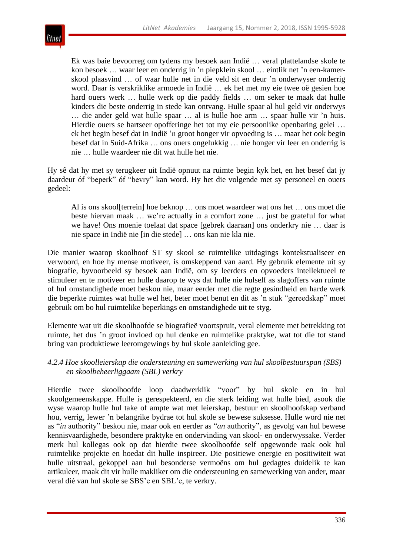

Ek was baie bevoorreg om tydens my besoek aan Indië … veral plattelandse skole te kon besoek … waar leer en onderrig in 'n piepklein skool … eintlik net 'n een-kamerskool plaasvind … of waar hulle net in die veld sit en deur 'n onderwyser onderrig word. Daar is verskriklike armoede in Indië … ek het met my eie twee oë gesien hoe hard ouers werk … hulle werk op die paddy fields … om seker te maak dat hulle kinders die beste onderrig in stede kan ontvang. Hulle spaar al hul geld vir onderwys … die ander geld wat hulle spaar … al is hulle hoe arm … spaar hulle vir 'n huis. Hierdie ouers se hartseer opofferinge het tot my eie persoonlike openbaring gelei … ek het begin besef dat in Indië 'n groot honger vir opvoeding is … maar het ook begin besef dat in Suid-Afrika … ons ouers ongelukkig … nie honger vir leer en onderrig is nie … hulle waardeer nie dit wat hulle het nie.

Hy sê dat hy met sy terugkeer uit Indië opnuut na ruimte begin kyk het, en het besef dat jy daardeur óf "beperk" óf "bevry" kan word. Hy het die volgende met sy personeel en ouers gedeel:

Al is ons skool[terrein] hoe beknop … ons moet waardeer wat ons het … ons moet die beste hiervan maak … we're actually in a comfort zone … just be grateful for what we have! Ons moenie toelaat dat space [gebrek daaraan] ons onderkry nie … daar is nie space in Indië nie [in die stede] … ons kan nie kla nie.

Die manier waarop skoolhoof ST sy skool se ruimtelike uitdagings kontekstualiseer en verwoord, en hoe hy mense motiveer, is omskeppend van aard. Hy gebruik elemente uit sy biografie, byvoorbeeld sy besoek aan Indië, om sy leerders en opvoeders intellektueel te stimuleer en te motiveer en hulle daarop te wys dat hulle nie hulself as slagoffers van ruimte of hul omstandighede moet beskou nie, maar eerder met die regte gesindheid en harde werk die beperkte ruimtes wat hulle wel het, beter moet benut en dit as 'n stuk "gereedskap" moet gebruik om bo hul ruimtelike beperkings en omstandighede uit te styg.

Elemente wat uit die skoolhoofde se biografieë voortspruit, veral elemente met betrekking tot ruimte, het dus 'n groot invloed op hul denke en ruimtelike praktyke, wat tot die tot stand bring van produktiewe leeromgewings by hul skole aanleiding gee.

### *4.2.4 Hoe skoolleierskap die ondersteuning en samewerking van hul skoolbestuurspan (SBS) en skoolbeheerliggaam (SBL) verkry*

Hierdie twee skoolhoofde loop daadwerklik "voor" by hul skole en in hul skoolgemeenskappe. Hulle is gerespekteerd, en die sterk leiding wat hulle bied, asook die wyse waarop hulle hul take of ampte wat met leierskap, bestuur en skoolhoofskap verband hou, verrig, lewer 'n belangrike bydrae tot hul skole se bewese suksesse. Hulle word nie net as "*in* authority" beskou nie, maar ook en eerder as "*an* authority", as gevolg van hul bewese kennisvaardighede, besondere praktyke en ondervinding van skool- en onderwyssake. Verder merk hul kollegas ook op dat hierdie twee skoolhoofde self opgewonde raak ook hul ruimtelike projekte en hoedat dit hulle inspireer. Die positiewe energie en positiwiteit wat hulle uitstraal, gekoppel aan hul besonderse vermoëns om hul gedagtes duidelik te kan artikuleer, maak dit vir hulle makliker om die ondersteuning en samewerking van ander, maar veral dié van hul skole se SBS'e en SBL'e, te verkry.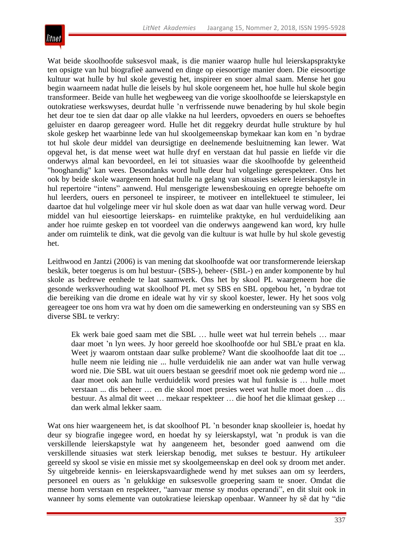

Wat beide skoolhoofde suksesvol maak, is die manier waarop hulle hul leierskapspraktyke ten opsigte van hul biografieë aanwend en dinge op eiesoortige manier doen. Die eiesoortige kultuur wat hulle by hul skole gevestig het, inspireer en snoer almal saam. Mense het gou begin waarneem nadat hulle die leisels by hul skole oorgeneem het, hoe hulle hul skole begin transformeer. Beide van hulle het wegbeweeg van die vorige skoolhoofde se leierskapstyle en outokratiese werkswyses, deurdat hulle 'n verfrissende nuwe benadering by hul skole begin het deur toe te sien dat daar op alle vlakke na hul leerders, opvoeders en ouers se behoeftes geluister en daarop gereageer word. Hulle het dit reggekry deurdat hulle strukture by hul skole geskep het waarbinne lede van hul skoolgemeenskap bymekaar kan kom en 'n bydrae tot hul skole deur middel van deursigtige en deelnemende besluitneming kan lewer. Wat opgeval het, is dat mense weet wat hulle dryf en verstaan dat hul passie en liefde vir die onderwys almal kan bevoordeel, en lei tot situasies waar die skoolhoofde by geleentheid "hooghandig" kan wees. Desondanks word hulle deur hul volgelinge gerespekteer. Ons het ook by beide skole waargeneem hoedat hulle na gelang van situasies sekere leierskapstyle in hul repertoire "intens" aanwend. Hul mensgerigte lewensbeskouing en opregte behoefte om hul leerders, ouers en personeel te inspireer, te motiveer en intellektueel te stimuleer, lei daartoe dat hul volgelinge meer vir hul skole doen as wat daar van hulle verwag word. Deur middel van hul eiesoortige leierskaps- en ruimtelike praktyke, en hul verduideliking aan ander hoe ruimte geskep en tot voordeel van die onderwys aangewend kan word, kry hulle ander om ruimtelik te dink, wat die gevolg van die kultuur is wat hulle by hul skole gevestig het.

Leithwood en Jantzi (2006) is van mening dat skoolhoofde wat oor transformerende leierskap beskik, beter toegerus is om hul bestuur- (SBS-), beheer- (SBL-) en ander komponente by hul skole as bedrewe eenhede te laat saamwerk. Ons het by skool PL waargeneem hoe die gesonde werksverhouding wat skoolhoof PL met sy SBS en SBL opgebou het, 'n bydrae tot die bereiking van die drome en ideale wat hy vir sy skool koester, lewer. Hy het soos volg gereageer toe ons hom vra wat hy doen om die samewerking en ondersteuning van sy SBS en diverse SBL te verkry:

Ek werk baie goed saam met die SBL … hulle weet wat hul terrein behels … maar daar moet 'n lyn wees. Jy hoor gereeld hoe skoolhoofde oor hul SBL'e praat en kla. Weet jy waarom ontstaan daar sulke probleme? Want die skoolhoofde laat dit toe ... hulle neem nie leiding nie ... hulle verduidelik nie aan ander wat van hulle verwag word nie. Die SBL wat uit ouers bestaan se geesdrif moet ook nie gedemp word nie ... daar moet ook aan hulle verduidelik word presies wat hul funksie is … hulle moet verstaan ... dis beheer … en die skool moet presies weet wat hulle moet doen … dis bestuur. As almal dit weet … mekaar respekteer … die hoof het die klimaat geskep … dan werk almal lekker saam*.*

Wat ons hier waargeneem het, is dat skoolhoof PL 'n besonder knap skoolleier is, hoedat hy deur sy biografie ingegee word, en hoedat hy sy leierskapstyl, wat 'n produk is van die verskillende leierskapstyle wat hy aangeneem het, besonder goed aanwend om die verskillende situasies wat sterk leierskap benodig, met sukses te bestuur. Hy artikuleer gereeld sy skool se visie en missie met sy skoolgemeenskap en deel ook sy droom met ander. Sy uitgebreide kennis- en leierskapsvaardighede wend hy met sukses aan om sy leerders, personeel en ouers as 'n gelukkige en suksesvolle groepering saam te snoer. Omdat die mense hom verstaan en respekteer, "aanvaar mense sy modus operandi", en dit sluit ook in wanneer hy soms elemente van outokratiese leierskap openbaar. Wanneer hy sê dat hy "die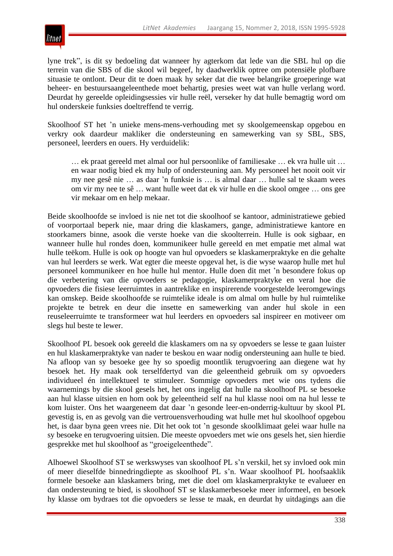

lyne trek", is dit sy bedoeling dat wanneer hy agterkom dat lede van die SBL hul op die terrein van die SBS of die skool wil begeef, hy daadwerklik optree om potensiële plofbare situasie te ontlont. Deur dit te doen maak hy seker dat die twee belangrike groeperinge wat beheer- en bestuursaangeleenthede moet behartig, presies weet wat van hulle verlang word. Deurdat hy gereelde opleidingsessies vir hulle reël, verseker hy dat hulle bemagtig word om hul onderskeie funksies doeltreffend te verrig.

Skoolhoof ST het 'n unieke mens-mens-verhouding met sy skoolgemeenskap opgebou en verkry ook daardeur makliker die ondersteuning en samewerking van sy SBL, SBS, personeel, leerders en ouers. Hy verduidelik:

… ek praat gereeld met almal oor hul persoonlike of familiesake … ek vra hulle uit … en waar nodig bied ek my hulp of ondersteuning aan. My personeel het nooit ooit vir my nee gesê nie … as daar 'n funksie is … is almal daar … hulle sal te skaam wees om vir my nee te sê … want hulle weet dat ek vir hulle en die skool omgee … ons gee vir mekaar om en help mekaar.

Beide skoolhoofde se invloed is nie net tot die skoolhoof se kantoor, administratiewe gebied of voorportaal beperk nie, maar dring die klaskamers, gange, administratiewe kantore en stoorkamers binne, asook die verste hoeke van die skoolterrein. Hulle is ook sigbaar, en wanneer hulle hul rondes doen, kommunikeer hulle gereeld en met empatie met almal wat hulle teëkom. Hulle is ook op hoogte van hul opvoeders se klaskamerpraktyke en die gehalte van hul leerders se werk. Wat egter die meeste opgeval het, is die wyse waarop hulle met hul personeel kommunikeer en hoe hulle hul mentor. Hulle doen dit met 'n besondere fokus op die verbetering van die opvoeders se pedagogie, klaskamerpraktyke en veral hoe die opvoeders die fisiese leerruimtes in aantreklike en inspirerende voorgestelde leeromgewings kan omskep. Beide skoolhoofde se ruimtelike ideale is om almal om hulle by hul ruimtelike projekte te betrek en deur die insette en samewerking van ander hul skole in een reuseleerruimte te transformeer wat hul leerders en opvoeders sal inspireer en motiveer om slegs hul beste te lewer.

Skoolhoof PL besoek ook gereeld die klaskamers om na sy opvoeders se lesse te gaan luister en hul klaskamerpraktyke van nader te beskou en waar nodig ondersteuning aan hulle te bied. Na afloop van sy besoeke gee hy so spoedig moontlik terugvoering aan diegene wat hy besoek het. Hy maak ook terselfdertyd van die geleentheid gebruik om sy opvoeders individueel én intellektueel te stimuleer. Sommige opvoeders met wie ons tydens die waarnemings by die skool gesels het, het ons ingelig dat hulle na skoolhoof PL se besoeke aan hul klasse uitsien en hom ook by geleentheid self na hul klasse nooi om na hul lesse te kom luister. Ons het waargeneem dat daar 'n gesonde leer-en-onderrig-kultuur by skool PL gevestig is, en as gevolg van die vertrouensverhouding wat hulle met hul skoolhoof opgebou het, is daar byna geen vrees nie. Dit het ook tot 'n gesonde skoolklimaat gelei waar hulle na sy besoeke en terugvoering uitsien. Die meeste opvoeders met wie ons gesels het, sien hierdie gesprekke met hul skoolhoof as "groeigeleenthede".

Alhoewel Skoolhoof ST se werkswyses van skoolhoof PL s'n verskil, het sy invloed ook min of meer dieselfde binnedringdiepte as skoolhoof PL s'n. Waar skoolhoof PL hoofsaaklik formele besoeke aan klaskamers bring, met die doel om klaskamerpraktyke te evalueer en dan ondersteuning te bied, is skoolhoof ST se klaskamerbesoeke meer informeel, en besoek hy klasse om bydraes tot die opvoeders se lesse te maak, en deurdat hy uitdagings aan die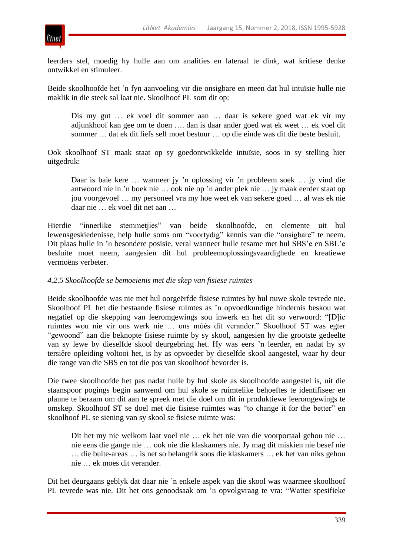

leerders stel, moedig hy hulle aan om analities en lateraal te dink, wat kritiese denke ontwikkel en stimuleer.

Beide skoolhoofde het 'n fyn aanvoeling vir die onsigbare en meen dat hul intuïsie hulle nie maklik in die steek sal laat nie. Skoolhoof PL som dit op:

Dis my gut … ek voel dit sommer aan … daar is sekere goed wat ek vir my adjunkhoof kan gee om te doen …. dan is daar ander goed wat ek weet … ek voel dit sommer … dat ek dit liefs self moet bestuur … op die einde was dit die beste besluit.

Ook skoolhoof ST maak staat op sy goedontwikkelde intuïsie, soos in sy stelling hier uitgedruk:

Daar is baie kere … wanneer jy 'n oplossing vir 'n probleem soek … jy vind die antwoord nie in 'n boek nie … ook nie op 'n ander plek nie … jy maak eerder staat op jou voorgevoel … my personeel vra my hoe weet ek van sekere goed … al was ek nie daar nie … ek voel dit net aan …

Hierdie "innerlike stemmetjies" van beide skoolhoofde, en elemente uit hul lewensgeskiedenisse, help hulle soms om "voortydig" kennis van die "onsigbare" te neem. Dit plaas hulle in 'n besondere posisie, veral wanneer hulle tesame met hul SBS'e en SBL'e besluite moet neem, aangesien dit hul probleemoplossingsvaardighede en kreatiewe vermoëns verbeter.

#### *4.2.5 Skoolhoofde se bemoeienis met die skep van fisiese ruimtes*

Beide skoolhoofde was nie met hul oorgeërfde fisiese ruimtes by hul nuwe skole tevrede nie. Skoolhoof PL het die bestaande fisiese ruimtes as 'n opvoedkundige hindernis beskou wat negatief op die skepping van leeromgewings sou inwerk en het dit so verwoord: "[D]ie ruimtes wou nie vir ons werk nie … ons móés dit verander.‖ Skoolhoof ST was egter "gewoond" aan die beknopte fisiese ruimte by sy skool, aangesien hy die grootste gedeelte van sy lewe by dieselfde skool deurgebring het. Hy was eers 'n leerder, en nadat hy sy tersiêre opleiding voltooi het, is hy as opvoeder by dieselfde skool aangestel, waar hy deur die range van die SBS en tot die pos van skoolhoof bevorder is.

Die twee skoolhoofde het pas nadat hulle by hul skole as skoolhoofde aangestel is, uit die staanspoor pogings begin aanwend om hul skole se ruimtelike behoeftes te identifiseer en planne te beraam om dit aan te spreek met die doel om dit in produktiewe leeromgewings te omskep. Skoolhoof ST se doel met die fisiese ruimtes was "to change it for the better" en skoolhoof PL se siening van sy skool se fisiese ruimte was:

Dit het my nie welkom laat voel nie … ek het nie van die voorportaal gehou nie … nie eens die gange nie … ook nie die klaskamers nie. Jy mag dit miskien nie besef nie … die buite-areas … is net so belangrik soos die klaskamers … ek het van niks gehou nie … ek moes dit verander.

Dit het deurgaans geblyk dat daar nie 'n enkele aspek van die skool was waarmee skoolhoof PL tevrede was nie. Dit het ons genoodsaak om 'n opvolgvraag te vra: "Watter spesifieke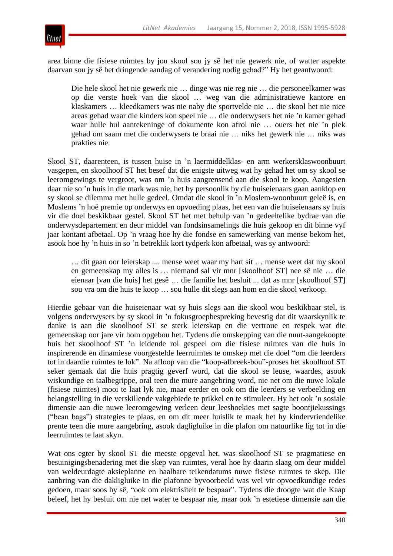

area binne die fisiese ruimtes by jou skool sou jy sê het nie gewerk nie, of watter aspekte daarvan sou jy sê het dringende aandag of verandering nodig gehad?" Hy het geantwoord:

Die hele skool het nie gewerk nie … dinge was nie reg nie … die personeelkamer was op die verste hoek van die skool … weg van die administratiewe kantore en klaskamers … kleedkamers was nie naby die sportvelde nie … die skool het nie nice areas gehad waar die kinders kon speel nie … die onderwysers het nie 'n kamer gehad waar hulle hul aantekeninge of dokumente kon afrol nie … ouers het nie 'n plek gehad om saam met die onderwysers te braai nie … niks het gewerk nie … niks was prakties nie.

Skool ST, daarenteen, is tussen huise in 'n laermiddelklas- en arm werkersklaswoonbuurt vasgepen, en skoolhoof ST het besef dat die enigste uitweg wat hy gehad het om sy skool se leeromgewings te vergroot, was om 'n huis aangrensend aan die skool te koop. Aangesien daar nie so 'n huis in die mark was nie, het hy persoonlik by die huiseienaars gaan aanklop en sy skool se dilemma met hulle gedeel. Omdat die skool in 'n Moslem-woonbuurt geleë is, en Moslems 'n hoë premie op onderwys en opvoeding plaas, het een van die huiseienaars sy huis vir die doel beskikbaar gestel. Skool ST het met behulp van 'n gedeeltelike bydrae van die onderwysdepartement en deur middel van fondsinsamelings die huis gekoop en dit binne vyf jaar kontant afbetaal. Op 'n vraag hoe hy die fondse en samewerking van mense bekom het, asook hoe hy 'n huis in so 'n betreklik kort tydperk kon afbetaal, was sy antwoord:

… dit gaan oor leierskap .... mense weet waar my hart sit … mense weet dat my skool en gemeenskap my alles is … niemand sal vir mnr [skoolhoof ST] nee sê nie … die eienaar [van die huis] het gesê … die familie het besluit ... dat as mnr [skoolhoof ST] sou vra om die huis te koop … sou hulle dit slegs aan hom en die skool verkoop.

Hierdie gebaar van die huiseienaar wat sy huis slegs aan die skool wou beskikbaar stel, is volgens onderwysers by sy skool in 'n fokusgroepbespreking bevestig dat dit waarskynlik te danke is aan die skoolhoof ST se sterk leierskap en die vertroue en respek wat die gemeenskap oor jare vir hom opgebou het. Tydens die omskepping van die nuut-aangekoopte huis het skoolhoof ST 'n leidende rol gespeel om die fisiese ruimtes van die huis in inspirerende en dinamiese voorgestelde leerruimtes te omskep met die doel "om die leerders tot in daardie ruimtes te lok". Na afloop van die "koop-afbreek-bou"-proses het skoolhoof ST seker gemaak dat die huis pragtig geverf word, dat die skool se leuse, waardes, asook wiskundige en taalbegrippe, oral teen die mure aangebring word, nie net om die nuwe lokale (fisiese ruimtes) mooi te laat lyk nie, maar eerder en ook om die leerders se verbeelding en belangstelling in die verskillende vakgebiede te prikkel en te stimuleer. Hy het ook 'n sosiale dimensie aan die nuwe leeromgewing verleen deur leeshoekies met sagte boontjiekussings (―bean bags‖) strategies te plaas, en om dit meer huislik te maak het hy kindervriendelike prente teen die mure aangebring, asook dagligluike in die plafon om natuurlike lig tot in die leerruimtes te laat skyn.

Wat ons egter by skool ST die meeste opgeval het, was skoolhoof ST se pragmatiese en besuinigingsbenadering met die skep van ruimtes, veral hoe hy daarin slaag om deur middel van weldeurdagte aksieplanne en haalbare teikendatums nuwe fisiese ruimtes te skep. Die aanbring van die dakligluike in die plafonne byvoorbeeld was wel vir opvoedkundige redes gedoen, maar soos hy sê, "ook om elektrisiteit te bespaar". Tydens die droogte wat die Kaap beleef, het hy besluit om nie net water te bespaar nie, maar ook 'n estetiese dimensie aan die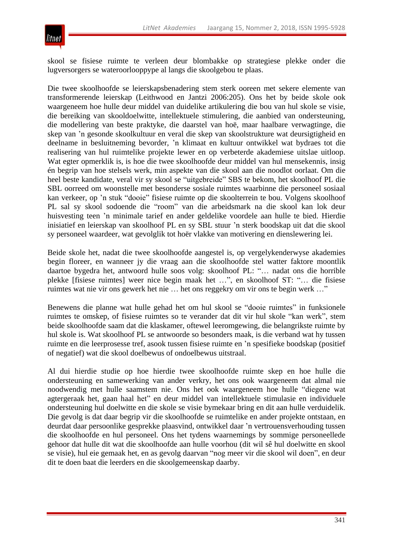

skool se fisiese ruimte te verleen deur blombakke op strategiese plekke onder die lugversorgers se wateroorlooppype al langs die skoolgebou te plaas.

Die twee skoolhoofde se leierskapsbenadering stem sterk ooreen met sekere elemente van transformerende leierskap (Leithwood en Jantzi 2006:205). Ons het by beide skole ook waargeneem hoe hulle deur middel van duidelike artikulering die bou van hul skole se visie, die bereiking van skooldoelwitte, intellektuele stimulering, die aanbied van ondersteuning, die modellering van beste praktyke, die daarstel van hoë, maar haalbare verwagtinge, die skep van 'n gesonde skoolkultuur en veral die skep van skoolstrukture wat deursigtigheid en deelname in besluitneming bevorder, 'n klimaat en kultuur ontwikkel wat bydraes tot die realisering van hul ruimtelike projekte lewer en op verbeterde akademiese uitslae uitloop. Wat egter opmerklik is, is hoe die twee skoolhoofde deur middel van hul mensekennis, insig én begrip van hoe stelsels werk, min aspekte van die skool aan die noodlot oorlaat. Om die heel beste kandidate, veral vir sy skool se "uitgebreide" SBS te bekom, het skoolhoof PL die SBL oorreed om woonstelle met besonderse sosiale ruimtes waarbinne die personeel sosiaal kan verkeer, op 'n stuk "dooie" fisiese ruimte op die skoolterrein te bou. Volgens skoolhoof PL sal sy skool sodoende die "room" van die arbeidsmark na die skool kan lok deur huisvesting teen 'n minimale tarief en ander geldelike voordele aan hulle te bied. Hierdie inisiatief en leierskap van skoolhoof PL en sy SBL stuur 'n sterk boodskap uit dat die skool sy personeel waardeer, wat gevolglik tot hoër vlakke van motivering en dienslewering lei.

Beide skole het, nadat die twee skoolhoofde aangestel is, op vergelykenderwyse akademies begin floreer, en wanneer jy die vraag aan die skoolhoofde stel watter faktore moontlik daartoe bygedra het, antwoord hulle soos volg: skoolhoof PL: "... nadat ons die horrible plekke [fisiese ruimtes] weer nice begin maak het …‖, en skoolhoof ST: ―… die fisiese ruimtes wat nie vir ons gewerk het nie ... het ons reggekry om vir ons te begin werk ..."

Benewens die planne wat hulle gehad het om hul skool se "dooie ruimtes" in funksionele ruimtes te omskep, of fisiese ruimtes so te verander dat dit vir hul skole "kan werk", stem beide skoolhoofde saam dat die klaskamer, oftewel leeromgewing, die belangrikste ruimte by hul skole is. Wat skoolhoof PL se antwoorde so besonders maak, is die verband wat hy tussen ruimte en die leerprosesse tref, asook tussen fisiese ruimte en 'n spesifieke boodskap (positief of negatief) wat die skool doelbewus of ondoelbewus uitstraal.

Al dui hierdie studie op hoe hierdie twee skoolhoofde ruimte skep en hoe hulle die ondersteuning en samewerking van ander verkry, het ons ook waargeneem dat almal nie noodwendig met hulle saamstem nie. Ons het ook waargeneem hoe hulle "diegene wat agtergeraak het, gaan haal het" en deur middel van intellektuele stimulasie en individuele ondersteuning hul doelwitte en die skole se visie bymekaar bring en dit aan hulle verduidelik. Die gevolg is dat daar begrip vir die skoolhoofde se ruimtelike en ander projekte ontstaan, en deurdat daar persoonlike gesprekke plaasvind, ontwikkel daar 'n vertrouensverhouding tussen die skoolhoofde en hul personeel. Ons het tydens waarnemings by sommige personeellede gehoor dat hulle dit wat die skoolhoofde aan hulle voorhou (dit wil sê hul doelwitte en skool se visie), hul eie gemaak het, en as gevolg daarvan "nog meer vir die skool wil doen", en deur dit te doen baat die leerders en die skoolgemeenskap daarby.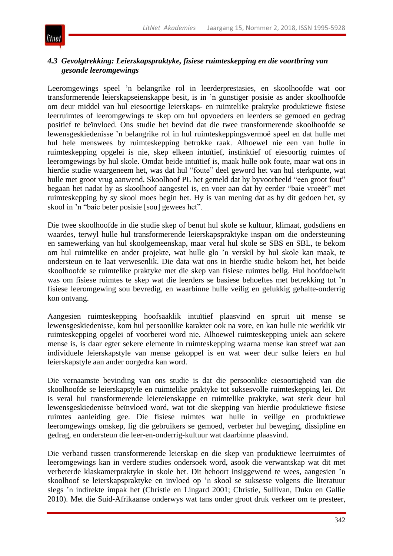

# *4.3 Gevolgtrekking: Leierskapspraktyke, fisiese ruimteskepping en die voortbring van gesonde leeromgewings*

Leeromgewings speel 'n belangrike rol in leerderprestasies, en skoolhoofde wat oor transformerende leierskapseienskappe besit, is in 'n gunstiger posisie as ander skoolhoofde om deur middel van hul eiesoortige leierskaps- en ruimtelike praktyke produktiewe fisiese leerruimtes of leeromgewings te skep om hul opvoeders en leerders se gemoed en gedrag positief te beïnvloed. Ons studie het bevind dat die twee transformerende skoolhoofde se lewensgeskiedenisse 'n belangrike rol in hul ruimteskeppingsvermoë speel en dat hulle met hul hele menswees by ruimteskepping betrokke raak. Alhoewel nie een van hulle in ruimteskepping opgelei is nie, skep elkeen intuïtief, instinktief of eiesoortig ruimtes of leeromgewings by hul skole. Omdat beide intuïtief is, maak hulle ook foute, maar wat ons in hierdie studie waargeneem het, was dat hul "foute" deel geword het van hul sterkpunte, wat hulle met groot vrug aanwend. Skoolhoof PL het gemeld dat hy byvoorbeeld "een groot fout" begaan het nadat hy as skoolhoof aangestel is, en voer aan dat hy eerder "baie vroeër" met ruimteskepping by sy skool moes begin het. Hy is van mening dat as hy dit gedoen het, sy skool in 'n "baie beter posisie [sou] gewees het".

Die twee skoolhoofde in die studie skep of benut hul skole se kultuur, klimaat, godsdiens en waardes, terwyl hulle hul transformerende leierskapspraktyke inspan om die ondersteuning en samewerking van hul skoolgemeenskap, maar veral hul skole se SBS en SBL, te bekom om hul ruimtelike en ander projekte, wat hulle glo 'n verskil by hul skole kan maak, te ondersteun en te laat verwesenlik. Die data wat ons in hierdie studie bekom het, het beide skoolhoofde se ruimtelike praktyke met die skep van fisiese ruimtes belig. Hul hoofdoelwit was om fisiese ruimtes te skep wat die leerders se basiese behoeftes met betrekking tot 'n fisiese leeromgewing sou bevredig, en waarbinne hulle veilig en gelukkig gehalte-onderrig kon ontvang.

Aangesien ruimteskepping hoofsaaklik intuïtief plaasvind en spruit uit mense se lewensgeskiedenisse, kom hul persoonlike karakter ook na vore, en kan hulle nie werklik vir ruimteskepping opgelei of voorberei word nie. Alhoewel ruimteskepping uniek aan sekere mense is, is daar egter sekere elemente in ruimteskepping waarna mense kan streef wat aan individuele leierskapstyle van mense gekoppel is en wat weer deur sulke leiers en hul leierskapstyle aan ander oorgedra kan word.

Die vernaamste bevinding van ons studie is dat die persoonlike eiesoortigheid van die skoolhoofde se leierskapstyle en ruimtelike praktyke tot suksesvolle ruimteskepping lei. Dit is veral hul transformerende leiereienskappe en ruimtelike praktyke, wat sterk deur hul lewensgeskiedenisse beïnvloed word, wat tot die skepping van hierdie produktiewe fisiese ruimtes aanleiding gee. Die fisiese ruimtes wat hulle in veilige en produktiewe leeromgewings omskep, lig die gebruikers se gemoed, verbeter hul beweging, dissipline en gedrag, en ondersteun die leer-en-onderrig-kultuur wat daarbinne plaasvind.

Die verband tussen transformerende leierskap en die skep van produktiewe leerruimtes of leeromgewings kan in verdere studies ondersoek word, asook die verwantskap wat dit met verbeterde klaskamerpraktyke in skole het. Dit behoort insiggewend te wees, aangesien 'n skoolhoof se leierskapspraktyke en invloed op 'n skool se suksesse volgens die literatuur slegs 'n indirekte impak het (Christie en Lingard 2001; Christie, Sullivan, Duku en Gallie 2010). Met die Suid-Afrikaanse onderwys wat tans onder groot druk verkeer om te presteer,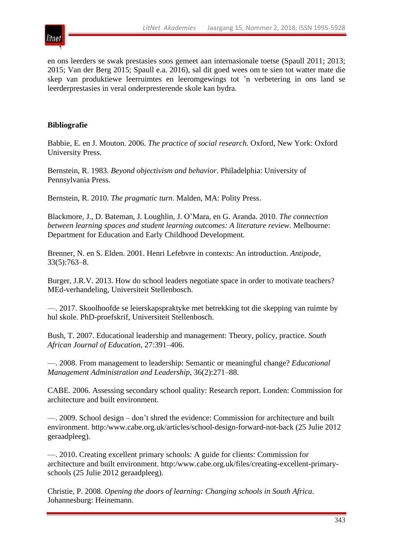

en ons leerders se swak prestasies soos gemeet aan internasionale toetse (Spaull 2011; 2013; 2015; Van der Berg 2015; Spaull e.a. 2016), sal dit goed wees om te sien tot watter mate die skep van produktiewe leerruimtes en leeromgewings tot 'n verbetering in ons land se leerderprestasies in veral onderpresterende skole kan bydra.

### **Bibliografie**

Babbie, E. en J. Mouton. 2006. *The practice of social research*. Oxford, New York: Oxford University Press.

Bernstein, R. 1983. *Beyond objectivism and behavior*. Philadelphia: University of Pennsylvania Press.

Bernstein, R. 2010. *The pragmatic turn*. Malden, MA: Polity Press.

Blackmore, J., D. Bateman, J. Loughlin, J. O'Mara, en G. Aranda. 2010. *The connection between learning spaces and student learning outcomes: A literature review*. Melbourne: Department for Education and Early Childhood Development.

Brenner, N. en S. Elden. 2001. Henri Lefebvre in contexts: An introduction. *Antipode*, 33(5):763–8.

Burger, J.R.V. 2013. How do school leaders negotiate space in order to motivate teachers? MEd-verhandeling, Universiteit Stellenbosch.

—. 2017. Skoolhoofde se leierskapspraktyke met betrekking tot die skepping van ruimte by hul skole. PhD-proefskrif, Universiteit Stellenbosch.

Bush, T. 2007. Educational leadership and management: Theory, policy, practice. *South African Journal of Education*, 27:391–406.

—. 2008. From management to leadership: Semantic or meaningful change? *Educational Management Administration and Leadership*, 36(2):271–88.

CABE. 2006. Assessing secondary school quality: Research report. Londen: Commission for architecture and built environment.

—. 2009. School design – don't shred the evidence: Commission for architecture and built environment. http:/www.cabe.org.uk/articles/school-design-forward-not-back (25 Julie 2012 geraadpleeg).

—. 2010. Creating excellent primary schools: A guide for clients: Commission for architecture and built environment. http:/www.cabe.org.uk/files/creating-excellent-primaryschools (25 Julie 2012 geraadpleeg).

Christie, P. 2008. *Opening the doors of learning: Changing schools in South Africa*. Johannesburg: Heinemann.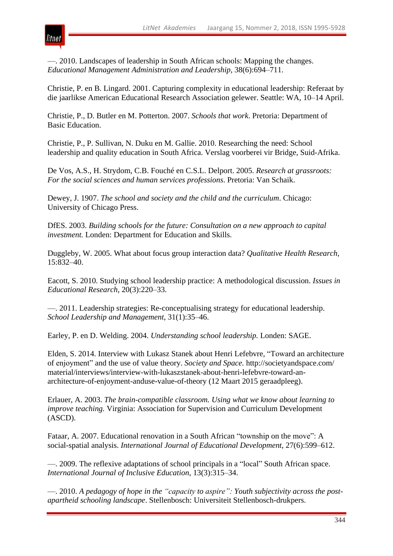

—. 2010. Landscapes of leadership in South African schools: Mapping the changes. *Educational Management Administration and Leadership*, 38(6):694–711.

Christie, P. en B. Lingard. 2001. Capturing complexity in educational leadership: Referaat by die jaarlikse American Educational Research Association gelewer. Seattle: WA, 10–14 April.

Christie, P., D. Butler en M. Potterton. 2007. *Schools that work*. Pretoria: Department of Basic Education.

Christie, P., P. Sullivan, N. Duku en M. Gallie. 2010. Researching the need: School leadership and quality education in South Africa. Verslag voorberei vir Bridge, Suid-Afrika.

De Vos, A.S., H. Strydom, C.B. Fouché en C.S.L. Delport. 2005. *Research at grassroots: For the social sciences and human services professions*. Pretoria: Van Schaik.

Dewey, J. 1907. *The school and society and the child and the curriculum*. Chicago: University of Chicago Press.

DfES. 2003. *Building schools for the future: Consultation on a new approach to capital investment.* Londen: Department for Education and Skills.

Duggleby, W. 2005. What about focus group interaction data? *Qualitative Health Research*, 15:832–40.

Eacott, S. 2010. Studying school leadership practice: A methodological discussion. *Issues in Educational Research*, 20(3):220–33.

—. 2011. Leadership strategies: Re-conceptualising strategy for educational leadership. *School Leadership and Management*, 31(1):35–46.

Earley, P. en D. Welding. 2004. *Understanding school leadership.* Londen: SAGE.

Elden, S. 2014. Interview with Lukasz Stanek about Henri Lefebvre, "Toward an architecture of enjoyment" and the use of value theory. *Society and Space*. http://societyandspace.com/ material/interviews/interview-with-lukaszstanek-about-henri-lefebvre-toward-anarchitecture-of-enjoyment-anduse-value-of-theory (12 Maart 2015 geraadpleeg).

Erlauer, A. 2003. *The brain-compatible classroom. Using what we know about learning to improve teaching.* Virginia: Association for Supervision and Curriculum Development (ASCD).

Fataar, A. 2007. Educational renovation in a South African "township on the move": A social-spatial analysis. *International Journal of Educational Development*, 27(6):599–612.

—. 2009. The reflexive adaptations of school principals in a "local" South African space. *International Journal of Inclusive Education*, 13(3):315–34.

—. 2010. *A pedagogy of hope in the "capacity to aspire": Youth subjectivity across the postapartheid schooling landscape*. Stellenbosch: Universiteit Stellenbosch-drukpers.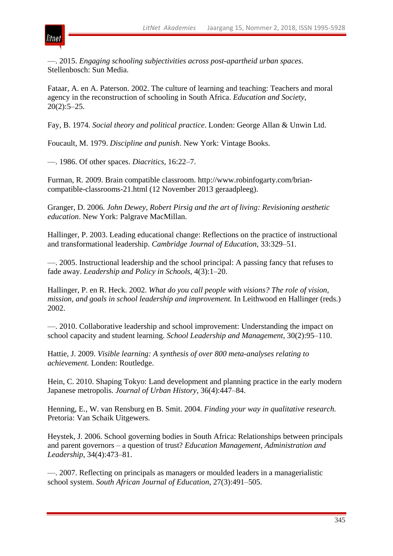

—. 2015. *Engaging schooling subjectivities across post-apartheid urban spaces*. Stellenbosch: Sun Media.

Fataar, A. en A. Paterson. 2002. The culture of learning and teaching: Teachers and moral agency in the reconstruction of schooling in South Africa. *Education and Society*,  $20(2):5-25.$ 

Fay, B. 1974. *Social theory and political practice*. Londen: George Allan & Unwin Ltd.

Foucault, M. 1979. *Discipline and punish*. New York: Vintage Books.

—. 1986. Of other spaces. *Diacritics*, 16:22–7.

Furman, R. 2009. Brain compatible classroom. http://www.robinfogarty.com/briancompatible-classrooms-21.html (12 November 2013 geraadpleeg).

Granger, D. 2006. *John Dewey, Robert Pirsig and the art of living: Revisioning aesthetic education*. New York: Palgrave MacMillan.

Hallinger, P. 2003. Leading educational change: Reflections on the practice of instructional and transformational leadership. *Cambridge Journal of Education*, 33:329–51.

—. 2005. Instructional leadership and the school principal: A passing fancy that refuses to fade away. *Leadership and Policy in Schools*, 4(3):1–20.

Hallinger, P. en R. Heck. 2002. *What do you call people with visions? The role of vision, mission, and goals in school leadership and improvement.* In Leithwood en Hallinger (reds.) 2002.

—. 2010. Collaborative leadership and school improvement: Understanding the impact on school capacity and student learning. *School Leadership and Management*, 30(2):95–110.

Hattie, J. 2009. *Visible learning: A synthesis of over 800 meta-analyses relating to achievement.* Londen: Routledge.

Hein, C. 2010. Shaping Tokyo: Land development and planning practice in the early modern Japanese metropolis. *Journal of Urban History*, 36(4):447–84.

Henning, E., W. van Rensburg en B. Smit. 2004. *Finding your way in qualitative research.* Pretoria: Van Schaik Uitgewers.

Heystek, J. 2006. School governing bodies in South Africa: Relationships between principals and parent governors – a question of trust? *Education Management, Administration and Leadership*, 34(4):473–81.

—. 2007. Reflecting on principals as managers or moulded leaders in a managerialistic school system. *South African Journal of Education*, 27(3):491–505.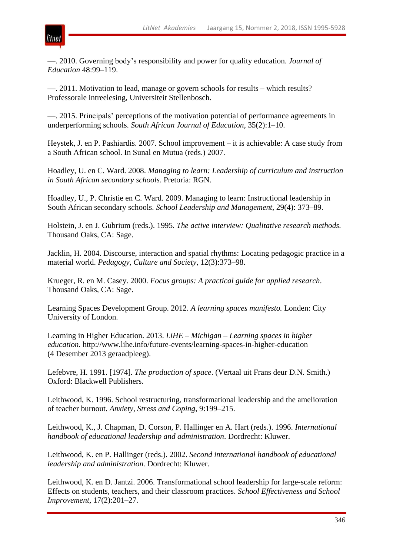

—. 2010. Governing body's responsibility and power for quality education. *Journal of Education* 48:99–119.

—. 2011. Motivation to lead, manage or govern schools for results – which results? Professorale intreelesing, Universiteit Stellenbosch.

—. 2015. Principals' perceptions of the motivation potential of performance agreements in underperforming schools. *South African Journal of Education*, 35(2):1–10.

Heystek, J. en P. Pashiardis. 2007. School improvement – it is achievable: A case study from a South African school. In Sunal en Mutua (reds.) 2007.

Hoadley, U. en C. Ward. 2008. *Managing to learn: Leadership of curriculum and instruction in South African secondary schools*. Pretoria: RGN.

Hoadley, U., P. Christie en C. Ward. 2009. Managing to learn: Instructional leadership in South African secondary schools. *School Leadership and Management*, 29(4): 373–89.

Holstein, J. en J. Gubrium (reds.). 1995. *The active interview: Qualitative research methods.* Thousand Oaks, CA: Sage.

Jacklin, H. 2004. Discourse, interaction and spatial rhythms: Locating pedagogic practice in a material world. *Pedagogy, Culture and Society*, 12(3):373–98.

Krueger, R. en M. Casey. 2000. *Focus groups: A practical guide for applied research*. Thousand Oaks, CA: Sage.

Learning Spaces Development Group. 2012. *A learning spaces manifesto.* Londen: City University of London.

Learning in Higher Education. 2013. *LiHE – Michigan – Learning spaces in higher education.* http://www.lihe.info/future-events/learning-spaces-in-higher-education (4 Desember 2013 geraadpleeg).

Lefebvre, H. 1991. [1974]. *The production of space*. (Vertaal uit Frans deur D.N. Smith.) Oxford: Blackwell Publishers.

Leithwood, K. 1996. School restructuring, transformational leadership and the amelioration of teacher burnout. *Anxiety, Stress and Coping*, 9:199–215.

Leithwood, K., J. Chapman, D. Corson, P. Hallinger en A. Hart (reds.). 1996. *International handbook of educational leadership and administration*. Dordrecht: Kluwer.

Leithwood, K. en P. Hallinger (reds.). 2002. *Second international handbook of educational leadership and administration.* Dordrecht: Kluwer.

Leithwood, K. en D. Jantzi. 2006. Transformational school leadership for large-scale reform: Effects on students, teachers, and their classroom practices. *School Effectiveness and School Improvement*, 17(2):201–27.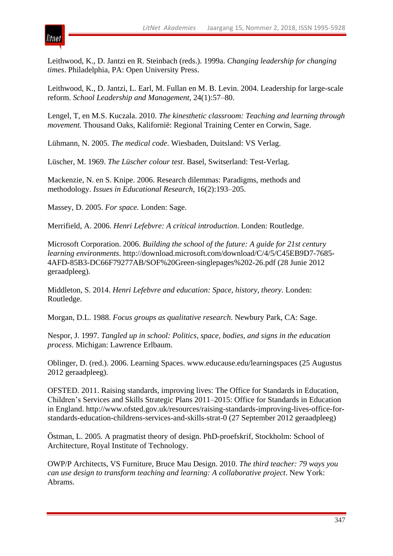

Leithwood, K., D. Jantzi en R. Steinbach (reds.). 1999a. *Changing leadership for changing times*. Philadelphia, PA: Open University Press.

Leithwood, K., D. Jantzi, L. Earl, M. Fullan en M. B. Levin. 2004. Leadership for large-scale reform. *School Leadership and Management*, 24(1):57–80.

Lengel, T, en M.S. Kuczala. 2010. *The kinesthetic classroom: Teaching and learning through movement.* Thousand Oaks, Kalifornië: Regional Training Center en Corwin, Sage.

Lühmann, N. 2005. *The medical code*. Wiesbaden, Duitsland: VS Verlag.

Lüscher, M. 1969. *The Lüscher colour test*. Basel, Switserland: Test-Verlag.

Mackenzie, N. en S. Knipe. 2006. Research dilemmas: Paradigms, methods and methodology. *Issues in Educational Research*, 16(2):193–205.

Massey, D. 2005. *For space.* Londen: Sage.

Merrifield, A. 2006. *Henri Lefebvre: A critical introduction*. Londen: Routledge.

Microsoft Corporation. 2006. *Building the school of the future: A guide for 21st century learning environments*. http://download.microsoft.com/download/C/4/5/C45EB9D7-7685- 4AFD-85B3-DC66F79277AB/SOF%20Green-singlepages%202-26.pdf (28 Junie 2012 geraadpleeg).

Middleton, S. 2014. *Henri Lefebvre and education: Space, history, theory*. Londen: Routledge.

Morgan, D.L. 1988. *Focus groups as qualitative research*. Newbury Park, CA: Sage.

Nespor, J. 1997. *Tangled up in school: Politics, space, bodies, and signs in the education process*. Michigan: Lawrence Erlbaum.

Oblinger, D. (red.). 2006. Learning Spaces. www.educause.edu/learningspaces (25 Augustus 2012 geraadpleeg).

OFSTED. 2011. Raising standards, improving lives: The Office for Standards in Education, Children's Services and Skills Strategic Plans 2011–2015: Office for Standards in Education in England. http://www.ofsted.gov.uk/resources/raising-standards-improving-lives-office-forstandards-education-childrens-services-and-skills-strat-0 (27 September 2012 geraadpleeg)

Ӧstman, L. 2005. A pragmatist theory of design. PhD-proefskrif, Stockholm: School of Architecture, Royal Institute of Technology.

OWP/P Architects, VS Furniture, Bruce Mau Design. 2010. *The third teacher: 79 ways you can use design to transform teaching and learning: A collaborative project*. New York: Abrams.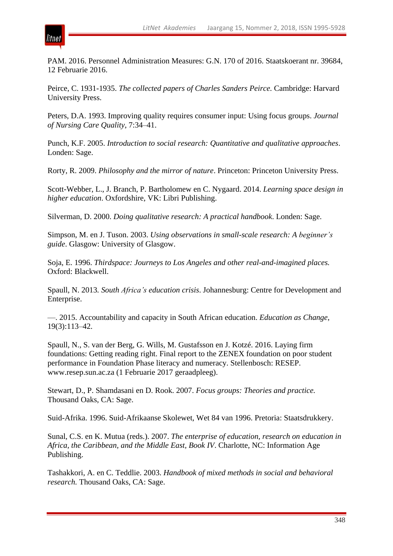

PAM. 2016. Personnel Administration Measures: G.N. 170 of 2016. Staatskoerant nr. 39684, 12 Februarie 2016.

Peirce, C. 1931-1935. *The collected papers of Charles Sanders Peirce.* Cambridge: Harvard University Press.

Peters, D.A. 1993. Improving quality requires consumer input: Using focus groups. *Journal of Nursing Care Quality*, 7:34–41.

Punch, K.F. 2005. *Introduction to social research: Quantitative and qualitative approaches*. Londen: Sage.

Rorty, R. 2009. *Philosophy and the mirror of nature*. Princeton: Princeton University Press.

Scott-Webber, L., J. Branch, P. Bartholomew en C. Nygaard. 2014. *Learning space design in higher education*. Oxfordshire, VK: Libri Publishing.

Silverman, D. 2000. *Doing qualitative research: A practical handbook*. Londen: Sage.

Simpson, M. en J. Tuson. 2003. *Using observations in small-scale research: A beginner's guide*. Glasgow: University of Glasgow.

Soja, E. 1996. *Thirdspace: Journeys to Los Angeles and other real-and-imagined places.* Oxford: Blackwell.

Spaull, N. 2013*. South Africa's education crisis*. Johannesburg: Centre for Development and Enterprise.

—. 2015. Accountability and capacity in South African education. *Education as Change*, 19(3):113–42.

Spaull, N., S. van der Berg, G. Wills, M. Gustafsson en J. Kotzé. 2016. Laying firm foundations: Getting reading right. Final report to the ZENEX foundation on poor student performance in Foundation Phase literacy and numeracy. Stellenbosch: RESEP. www.resep.sun.ac.za (1 Februarie 2017 geraadpleeg).

Stewart, D., P. Shamdasani en D. Rook. 2007. *Focus groups: Theories and practice.* Thousand Oaks, CA: Sage.

Suid-Afrika. 1996. Suid-Afrikaanse Skolewet, Wet 84 van 1996. Pretoria: Staatsdrukkery.

Sunal, C.S. en K. Mutua (reds.). 2007. *The enterprise of education, research on education in Africa, the Caribbean, and the Middle East, Book IV*. Charlotte, NC: Information Age Publishing.

Tashakkori, A. en C. Teddlie. 2003. *Handbook of mixed methods in social and behavioral research.* Thousand Oaks, CA: Sage.